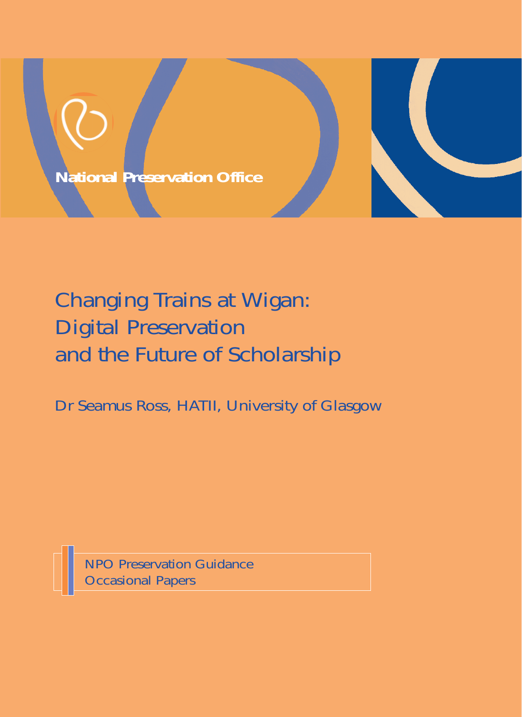

# Changing Trains at Wigan: Digital Preservation and the Future of Scholarship

Dr Seamus Ross, HATII, University of Glasgow

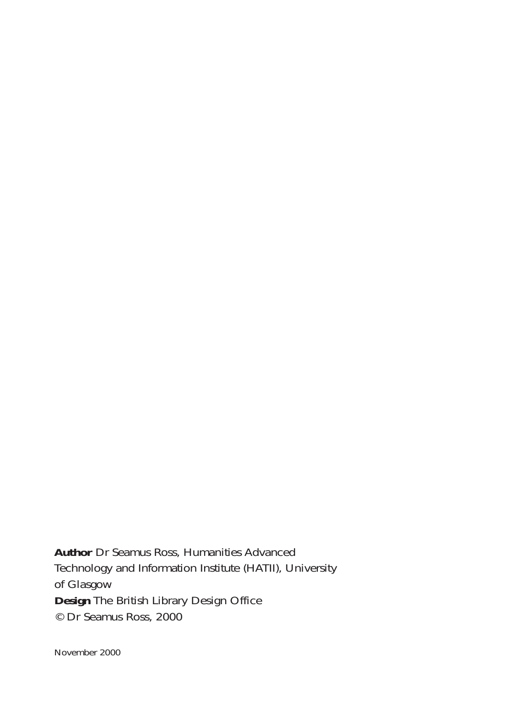**Author** Dr Seamus Ross, Humanities Advanced Technology and Information Institute (HATII), University of Glasgow **Design** The British Library Design Office © Dr Seamus Ross, 2000

November 2000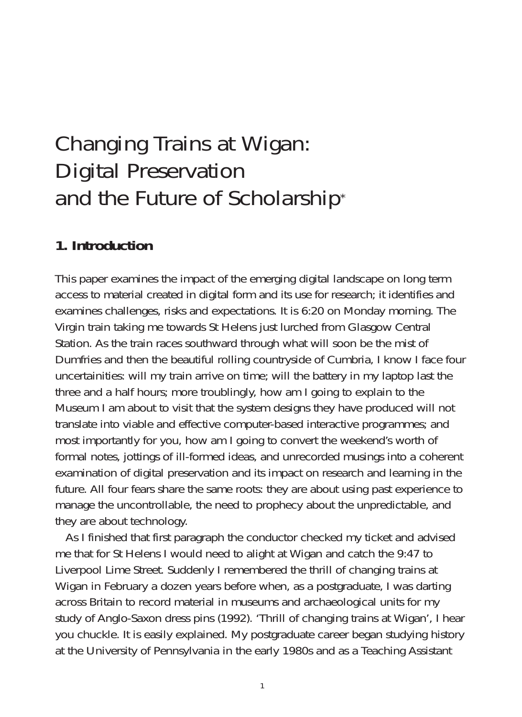# Changing Trains at Wigan: Digital Preservation and the Future of Scholarship\*

## **1. Introduction**

This paper examines the impact of the emerging digital landscape on long term access to material created in digital form and its use for research; it identifies and examines challenges, risks and expectations. It is 6:20 on Monday morning. The Virgin train taking me towards St Helens just lurched from Glasgow Central Station. As the train races southward through what will soon be the mist of Dumfries and then the beautiful rolling countryside of Cumbria, I know I face four uncertainities: will my train arrive on time; will the battery in my laptop last the three and a half hours; more troublingly, how am I going to explain to the Museum I am about to visit that the system designs they have produced will not translate into viable and effective computer-based interactive programmes; and most importantly for you, how am I going to convert the weekend's worth of formal notes, jottings of ill-formed ideas, and unrecorded musings into a coherent examination of digital preservation and its impact on research and learning in the future. All four fears share the same roots: they are about using past experience to manage the uncontrollable, the need to prophecy about the unpredictable, and they are about technology.

As I finished that first paragraph the conductor checked my ticket and advised me that for St Helens I would need to alight at Wigan and catch the 9:47 to Liverpool Lime Street. Suddenly I remembered the thrill of changing trains at Wigan in February a dozen years before when, as a postgraduate, I was darting across Britain to record material in museums and archaeological units for my study of Anglo-Saxon dress pins (1992). 'Thrill of changing trains at Wigan', I hear you chuckle. It is easily explained. My postgraduate career began studying history at the University of Pennsylvania in the early 1980s and as a Teaching Assistant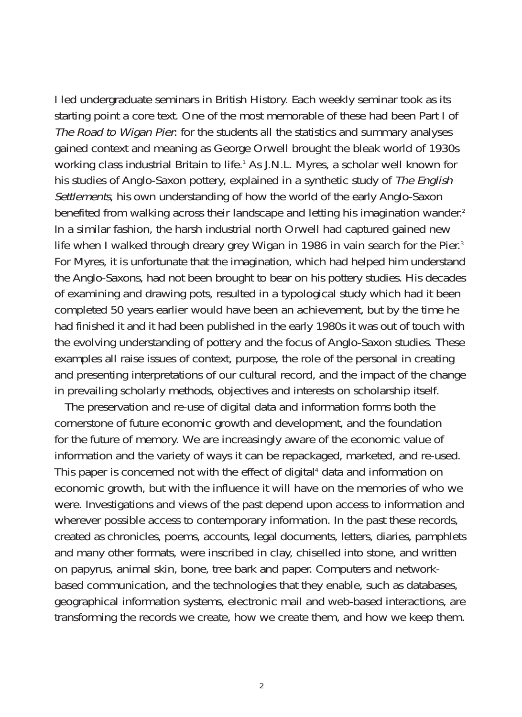I led undergraduate seminars in British History. Each weekly seminar took as its starting point a core text. One of the most memorable of these had been Part I of The Road to Wigan Pier: for the students all the statistics and summary analyses gained context and meaning as George Orwell brought the bleak world of 1930s working class industrial Britain to life.<sup>1</sup> As J.N.L. Myres, a scholar well known for his studies of Anglo-Saxon pottery, explained in a synthetic study of The English Settlements, his own understanding of how the world of the early Anglo-Saxon benefited from walking across their landscape and letting his imagination wander.<sup>2</sup> In a similar fashion, the harsh industrial north Orwell had captured gained new life when I walked through dreary grey Wigan in 1986 in vain search for the Pier.<sup>3</sup> For Myres, it is unfortunate that the imagination, which had helped him understand the Anglo-Saxons, had not been brought to bear on his pottery studies. His decades of examining and drawing pots, resulted in a typological study which had it been completed 50 years earlier would have been an achievement, but by the time he had finished it and it had been published in the early 1980s it was out of touch with the evolving understanding of pottery and the focus of Anglo-Saxon studies. These examples all raise issues of context, purpose, the role of the personal in creating and presenting interpretations of our cultural record, and the impact of the change in prevailing scholarly methods, objectives and interests on scholarship itself.

The preservation and re-use of digital data and information forms both the cornerstone of future economic growth and development, and the foundation for the future of memory. We are increasingly aware of the economic value of information and the variety of ways it can be repackaged, marketed, and re-used. This paper is concerned not with the effect of digital<sup>4</sup> data and information on economic growth, but with the influence it will have on the memories of who we were. Investigations and views of the past depend upon access to information and wherever possible access to contemporary information. In the past these records, created as chronicles, poems, accounts, legal documents, letters, diaries, pamphlets and many other formats, were inscribed in clay, chiselled into stone, and written on papyrus, animal skin, bone, tree bark and paper. Computers and networkbased communication, and the technologies that they enable, such as databases, geographical information systems, electronic mail and web-based interactions, are transforming the records we create, how we create them, and how we keep them.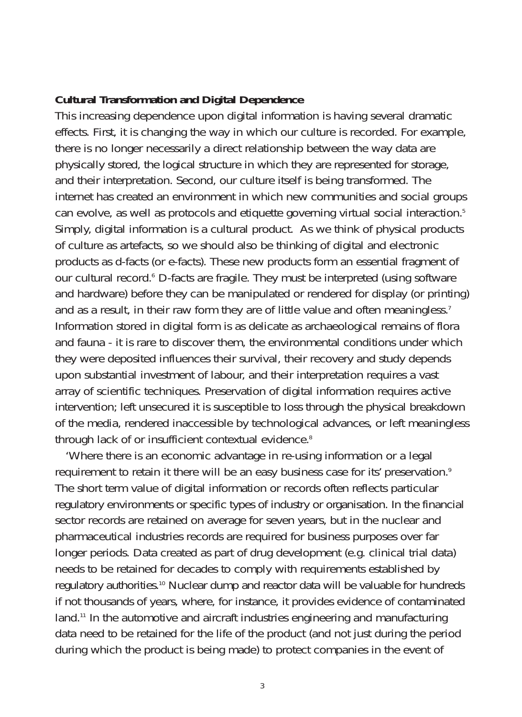## **Cultural Transformation and Digital Dependence**

This increasing dependence upon digital information is having several dramatic effects. First, it is changing the way in which our culture is recorded. For example, there is no longer necessarily a direct relationship between the way data are physically stored, the logical structure in which they are represented for storage, and their interpretation. Second, our culture itself is being transformed. The internet has created an environment in which new communities and social groups can evolve, as well as protocols and etiquette governing virtual social interaction.5 Simply, digital information is a cultural product. As we think of physical products of culture as artefacts, so we should also be thinking of digital and electronic products as d-facts (or e-facts). These new products form an essential fragment of our cultural record.<sup>6</sup> D-facts are fragile. They must be interpreted (using software and hardware) before they can be manipulated or rendered for display (or printing) and as a result, in their raw form they are of little value and often meaningless.<sup>7</sup> Information stored in digital form is as delicate as archaeological remains of flora and fauna - it is rare to discover them, the environmental conditions under which they were deposited influences their survival, their recovery and study depends upon substantial investment of labour, and their interpretation requires a vast array of scientific techniques. Preservation of digital information requires active intervention; left unsecured it is susceptible to loss through the physical breakdown of the media, rendered inaccessible by technological advances, or left meaningless through lack of or insufficient contextual evidence.<sup>8</sup>

'Where there is an economic advantage in re-using information or a legal requirement to retain it there will be an easy business case for its' preservation.<sup>9</sup> The short term value of digital information or records often reflects particular regulatory environments or specific types of industry or organisation. In the financial sector records are retained on average for seven years, but in the nuclear and pharmaceutical industries records are required for business purposes over far longer periods. Data created as part of drug development (e.g. clinical trial data) needs to be retained for decades to comply with requirements established by regulatory authorities.<sup>10</sup> Nuclear dump and reactor data will be valuable for hundreds if not thousands of years, where, for instance, it provides evidence of contaminated land.<sup>11</sup> In the automotive and aircraft industries engineering and manufacturing data need to be retained for the life of the product (and not just during the period during which the product is being made) to protect companies in the event of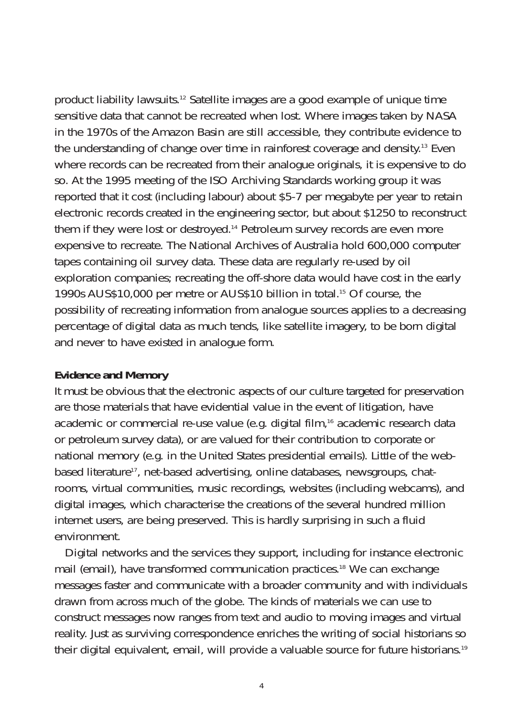product liability lawsuits.12 Satellite images are a good example of unique time sensitive data that cannot be recreated when lost. Where images taken by NASA in the 1970s of the Amazon Basin are still accessible, they contribute evidence to the understanding of change over time in rainforest coverage and density.13 Even where records can be recreated from their analogue originals, it is expensive to do so. At the 1995 meeting of the ISO Archiving Standards working group it was reported that it cost (including labour) about \$5-7 per megabyte per year to retain electronic records created in the engineering sector, but about \$1250 to reconstruct them if they were lost or destroyed.14 Petroleum survey records are even more expensive to recreate. The National Archives of Australia hold 600,000 computer tapes containing oil survey data. These data are regularly re-used by oil exploration companies; recreating the off-shore data would have cost in the early 1990s AUS\$10,000 per metre or AUS\$10 billion in total.15 Of course, the possibility of recreating information from analogue sources applies to a decreasing percentage of digital data as much tends, like satellite imagery, to be born digital and never to have existed in analogue form.

#### **Evidence and Memory**

It must be obvious that the electronic aspects of our culture targeted for preservation are those materials that have evidential value in the event of litigation, have academic or commercial re-use value (e.g. digital film,16 academic research data or petroleum survey data), or are valued for their contribution to corporate or national memory (e.g. in the United States presidential emails). Little of the webbased literature<sup>17</sup>, net-based advertising, online databases, newsgroups, chatrooms, virtual communities, music recordings, websites (including webcams), and digital images, which characterise the creations of the several hundred million internet users, are being preserved. This is hardly surprising in such a fluid environment.

Digital networks and the services they support, including for instance electronic mail (email), have transformed communication practices.18 We can exchange messages faster and communicate with a broader community and with individuals drawn from across much of the globe. The kinds of materials we can use to construct messages now ranges from text and audio to moving images and virtual reality. Just as surviving correspondence enriches the writing of social historians so their digital equivalent, email, will provide a valuable source for future historians.19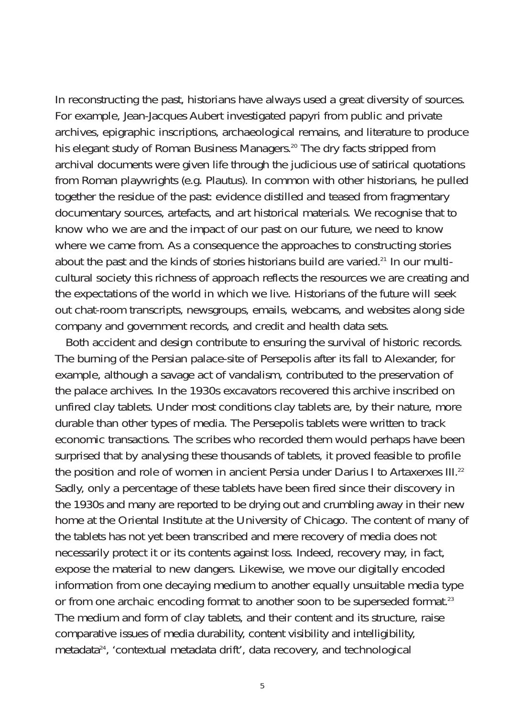In reconstructing the past, historians have always used a great diversity of sources. For example, Jean-Jacques Aubert investigated papyri from public and private archives, epigraphic inscriptions, archaeological remains, and literature to produce his elegant study of Roman Business Managers.<sup>20</sup> The dry facts stripped from archival documents were given life through the judicious use of satirical quotations from Roman playwrights (e.g. Plautus). In common with other historians, he pulled together the residue of the past: evidence distilled and teased from fragmentary documentary sources, artefacts, and art historical materials. We recognise that to know who we are and the impact of our past on our future, we need to know where we came from. As a consequence the approaches to constructing stories about the past and the kinds of stories historians build are varied.21 In our multicultural society this richness of approach reflects the resources we are creating and the expectations of the world in which we live. Historians of the future will seek out chat-room transcripts, newsgroups, emails, webcams, and websites along side company and government records, and credit and health data sets.

Both accident and design contribute to ensuring the survival of historic records. The burning of the Persian palace-site of Persepolis after its fall to Alexander, for example, although a savage act of vandalism, contributed to the preservation of the palace archives. In the 1930s excavators recovered this archive inscribed on unfired clay tablets. Under most conditions clay tablets are, by their nature, more durable than other types of media. The Persepolis tablets were written to track economic transactions. The scribes who recorded them would perhaps have been surprised that by analysing these thousands of tablets, it proved feasible to profile the position and role of women in ancient Persia under Darius I to Artaxerxes III.22 Sadly, only a percentage of these tablets have been fired since their discovery in the 1930s and many are reported to be drying out and crumbling away in their new home at the Oriental Institute at the University of Chicago. The content of many of the tablets has not yet been transcribed and mere recovery of media does not necessarily protect it or its contents against loss. Indeed, recovery may, in fact, expose the material to new dangers. Likewise, we move our digitally encoded information from one decaying medium to another equally unsuitable media type or from one archaic encoding format to another soon to be superseded format.<sup>23</sup> The medium and form of clay tablets, and their content and its structure, raise comparative issues of media durability, content visibility and intelligibility, metadata<sup>24</sup>, 'contextual metadata drift', data recovery, and technological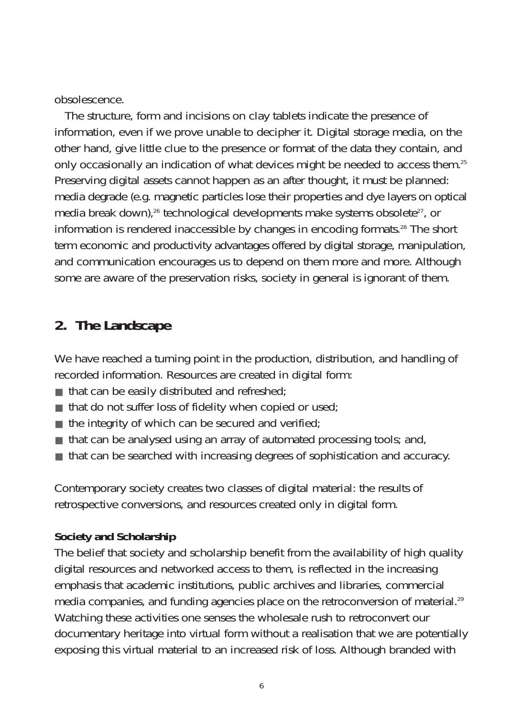obsolescence.

The structure, form and incisions on clay tablets indicate the presence of information, even if we prove unable to decipher it. Digital storage media, on the other hand, give little clue to the presence or format of the data they contain, and only occasionally an indication of what devices might be needed to access them.<sup>25</sup> Preserving digital assets cannot happen as an after thought, it must be planned: media degrade (e.g. magnetic particles lose their properties and dye layers on optical media break down),<sup>26</sup> technological developments make systems obsolete<sup>27</sup>, or information is rendered inaccessible by changes in encoding formats.28 The short term economic and productivity advantages offered by digital storage, manipulation, and communication encourages us to depend on them more and more. Although some are aware of the preservation risks, society in general is ignorant of them.

## **2. The Landscape**

We have reached a turning point in the production, distribution, and handling of recorded information. Resources are created in digital form:

- $\blacksquare$  that can be easily distributed and refreshed;
- $\blacksquare$  that do not suffer loss of fidelity when copied or used;
- $\blacksquare$  the integrity of which can be secured and verified;
- $\blacksquare$  that can be analysed using an array of automated processing tools; and,
- that can be searched with increasing degrees of sophistication and accuracy.

Contemporary society creates two classes of digital material: the results of retrospective conversions, and resources created only in digital form.

## **Society and Scholarship**

The belief that society and scholarship benefit from the availability of high quality digital resources and networked access to them, is reflected in the increasing emphasis that academic institutions, public archives and libraries, commercial media companies, and funding agencies place on the retroconversion of material.<sup>29</sup> Watching these activities one senses the wholesale rush to retroconvert our documentary heritage into virtual form without a realisation that we are potentially exposing this virtual material to an increased risk of loss. Although branded with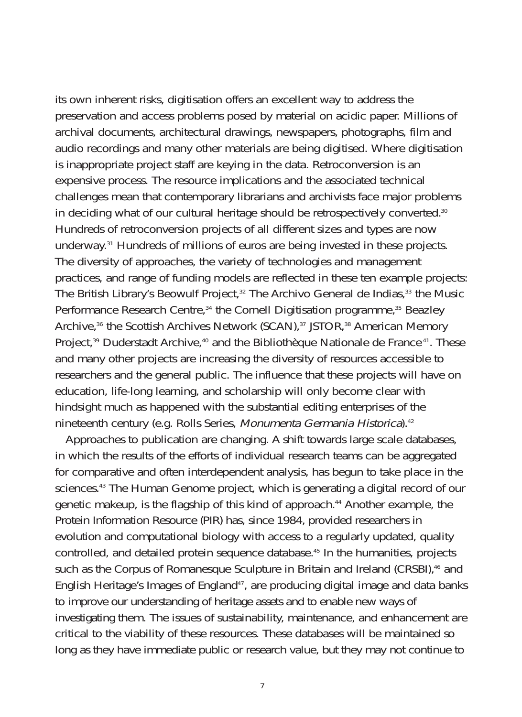its own inherent risks, digitisation offers an excellent way to address the preservation and access problems posed by material on acidic paper. Millions of archival documents, architectural drawings, newspapers, photographs, film and audio recordings and many other materials are being digitised. Where digitisation is inappropriate project staff are keying in the data. Retroconversion is an expensive process. The resource implications and the associated technical challenges mean that contemporary librarians and archivists face major problems in deciding what of our cultural heritage should be retrospectively converted.<sup>30</sup> Hundreds of retroconversion projects of all different sizes and types are now underway.31 Hundreds of millions of euros are being invested in these projects. The diversity of approaches, the variety of technologies and management practices, and range of funding models are reflected in these ten example projects: The British Library's Beowulf Project, $32$  The Archivo General de Indias, $33$  the Music Performance Research Centre,<sup>34</sup> the Cornell Digitisation programme,<sup>35</sup> Beazley Archive,<sup>36</sup> the Scottish Archives Network (SCAN),<sup>37</sup> JSTOR,<sup>38</sup> American Memory Project,<sup>39</sup> Duderstadt Archive,<sup>40</sup> and the Bibliothèque Nationale de France<sup>41</sup>. These and many other projects are increasing the diversity of resources accessible to researchers and the general public. The influence that these projects will have on education, life-long learning, and scholarship will only become clear with hindsight much as happened with the substantial editing enterprises of the nineteenth century (e.g. Rolls Series, Monumenta Germania Historica).42

Approaches to publication are changing. A shift towards large scale databases, in which the results of the efforts of individual research teams can be aggregated for comparative and often interdependent analysis, has begun to take place in the sciences.<sup>43</sup> The Human Genome project, which is generating a digital record of our genetic makeup, is the flagship of this kind of approach.44 Another example, the Protein Information Resource (PIR) has, since 1984, provided researchers in evolution and computational biology with access to a regularly updated, quality controlled, and detailed protein sequence database.45 In the humanities, projects such as the Corpus of Romanesque Sculpture in Britain and Ireland (CRSBI),<sup>46</sup> and English Heritage's Images of England<sup>47</sup>, are producing digital image and data banks to improve our understanding of heritage assets and to enable new ways of investigating them. The issues of sustainability, maintenance, and enhancement are critical to the viability of these resources. These databases will be maintained so long as they have immediate public or research value, but they may not continue to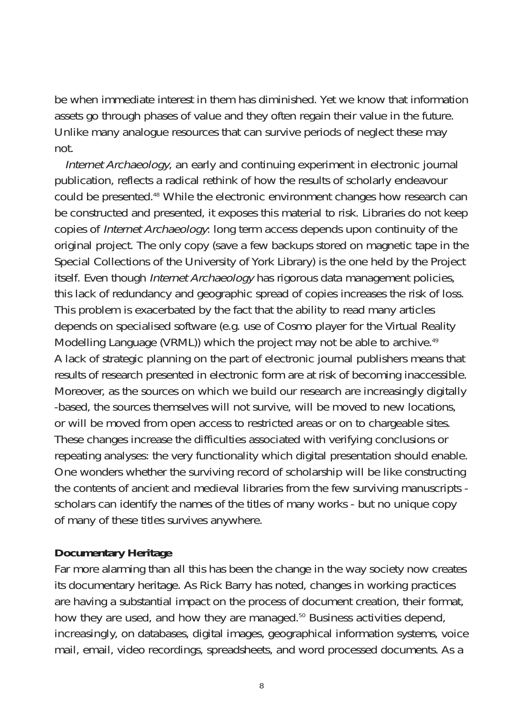be when immediate interest in them has diminished. Yet we know that information assets go through phases of value and they often regain their value in the future. Unlike many analogue resources that can survive periods of neglect these may not.

Internet Archaeology, an early and continuing experiment in electronic journal publication, reflects a radical rethink of how the results of scholarly endeavour could be presented.48 While the electronic environment changes how research can be constructed and presented, it exposes this material to risk. Libraries do not keep copies of *Internet Archaeology*: long term access depends upon continuity of the original project. The only copy (save a few backups stored on magnetic tape in the Special Collections of the University of York Library) is the one held by the Project itself. Even though Internet Archaeology has rigorous data management policies, this lack of redundancy and geographic spread of copies increases the risk of loss. This problem is exacerbated by the fact that the ability to read many articles depends on specialised software (e.g. use of Cosmo player for the Virtual Reality Modelling Language (VRML)) which the project may not be able to archive.<sup>49</sup> A lack of strategic planning on the part of electronic journal publishers means that results of research presented in electronic form are at risk of becoming inaccessible. Moreover, as the sources on which we build our research are increasingly digitally -based, the sources themselves will not survive, will be moved to new locations, or will be moved from open access to restricted areas or on to chargeable sites. These changes increase the difficulties associated with verifying conclusions or repeating analyses: the very functionality which digital presentation should enable. One wonders whether the surviving record of scholarship will be like constructing the contents of ancient and medieval libraries from the few surviving manuscripts scholars can identify the names of the titles of many works - but no unique copy of many of these titles survives anywhere.

## **Documentary Heritage**

Far more alarming than all this has been the change in the way society now creates its documentary heritage. As Rick Barry has noted, changes in working practices are having a substantial impact on the process of document creation, their format, how they are used, and how they are managed.<sup>50</sup> Business activities depend, increasingly, on databases, digital images, geographical information systems, voice mail, email, video recordings, spreadsheets, and word processed documents. As a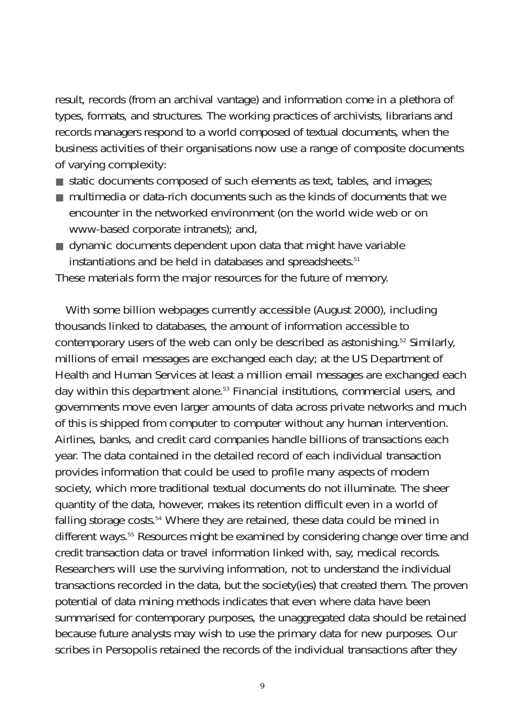result, records (from an archival vantage) and information come in a plethora of types, formats, and structures. The working practices of archivists, librarians and records managers respond to a world composed of textual documents, when the business activities of their organisations now use a range of composite documents of varying complexity:

- static documents composed of such elements as text, tables, and images;
- multimedia or data-rich documents such as the kinds of documents that we encounter in the networked environment (on the world wide web or on www-based corporate intranets); and,
- dynamic documents dependent upon data that might have variable instantiations and be held in databases and spreadsheets.<sup>51</sup>

These materials form the major resources for the future of memory.

With some billion webpages currently accessible (August 2000), including thousands linked to databases, the amount of information accessible to contemporary users of the web can only be described as astonishing.<sup>52</sup> Similarly, millions of email messages are exchanged each day; at the US Department of Health and Human Services at least a million email messages are exchanged each day within this department alone.53 Financial institutions, commercial users, and governments move even larger amounts of data across private networks and much of this is shipped from computer to computer without any human intervention. Airlines, banks, and credit card companies handle billions of transactions each year. The data contained in the detailed record of each individual transaction provides information that could be used to profile many aspects of modern society, which more traditional textual documents do not illuminate. The sheer quantity of the data, however, makes its retention difficult even in a world of falling storage costs.54 Where they are retained, these data could be mined in different ways.55 Resources might be examined by considering change over time and credit transaction data or travel information linked with, say, medical records. Researchers will use the surviving information, not to understand the individual transactions recorded in the data, but the society(ies) that created them. The proven potential of data mining methods indicates that even where data have been summarised for contemporary purposes, the unaggregated data should be retained because future analysts may wish to use the primary data for new purposes. Our scribes in Persopolis retained the records of the individual transactions after they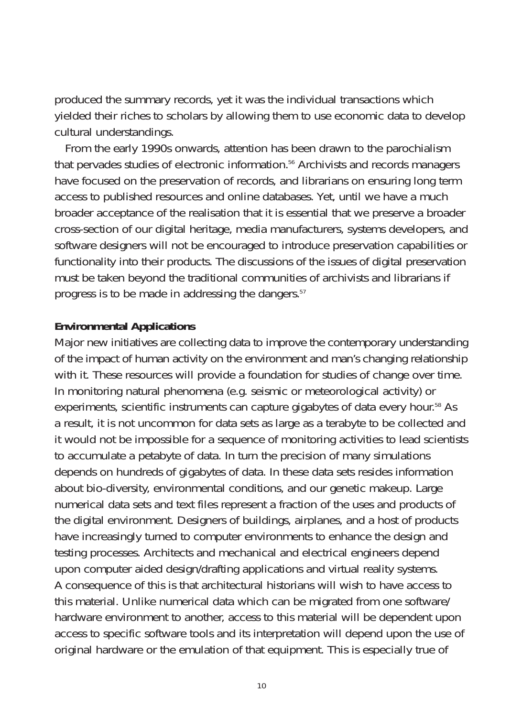produced the summary records, yet it was the individual transactions which yielded their riches to scholars by allowing them to use economic data to develop cultural understandings.

From the early 1990s onwards, attention has been drawn to the parochialism that pervades studies of electronic information.56 Archivists and records managers have focused on the preservation of records, and librarians on ensuring long term access to published resources and online databases. Yet, until we have a much broader acceptance of the realisation that it is essential that we preserve a broader cross-section of our digital heritage, media manufacturers, systems developers, and software designers will not be encouraged to introduce preservation capabilities or functionality into their products. The discussions of the issues of digital preservation must be taken beyond the traditional communities of archivists and librarians if progress is to be made in addressing the dangers.57

#### **Environmental Applications**

Major new initiatives are collecting data to improve the contemporary understanding of the impact of human activity on the environment and man's changing relationship with it. These resources will provide a foundation for studies of change over time. In monitoring natural phenomena (e.g. seismic or meteorological activity) or experiments, scientific instruments can capture gigabytes of data every hour.<sup>58</sup> As a result, it is not uncommon for data sets as large as a terabyte to be collected and it would not be impossible for a sequence of monitoring activities to lead scientists to accumulate a petabyte of data. In turn the precision of many simulations depends on hundreds of gigabytes of data. In these data sets resides information about bio-diversity, environmental conditions, and our genetic makeup. Large numerical data sets and text files represent a fraction of the uses and products of the digital environment. Designers of buildings, airplanes, and a host of products have increasingly turned to computer environments to enhance the design and testing processes. Architects and mechanical and electrical engineers depend upon computer aided design/drafting applications and virtual reality systems. A consequence of this is that architectural historians will wish to have access to this material. Unlike numerical data which can be migrated from one software/ hardware environment to another, access to this material will be dependent upon access to specific software tools and its interpretation will depend upon the use of original hardware or the emulation of that equipment. This is especially true of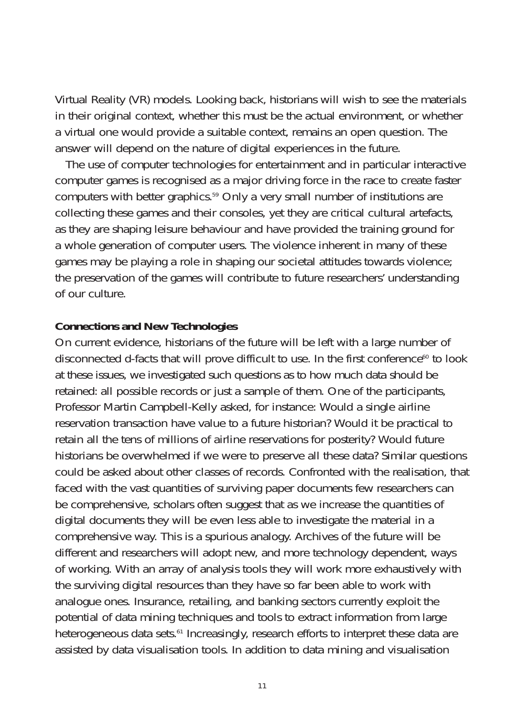Virtual Reality (VR) models. Looking back, historians will wish to see the materials in their original context, whether this must be the actual environment, or whether a virtual one would provide a suitable context, remains an open question. The answer will depend on the nature of digital experiences in the future.

The use of computer technologies for entertainment and in particular interactive computer games is recognised as a major driving force in the race to create faster computers with better graphics.59 Only a very small number of institutions are collecting these games and their consoles, yet they are critical cultural artefacts, as they are shaping leisure behaviour and have provided the training ground for a whole generation of computer users. The violence inherent in many of these games may be playing a role in shaping our societal attitudes towards violence; the preservation of the games will contribute to future researchers' understanding of our culture.

#### **Connections and New Technologies**

On current evidence, historians of the future will be left with a large number of disconnected d-facts that will prove difficult to use. In the first conference $\omega$  to look at these issues, we investigated such questions as to how much data should be retained: all possible records or just a sample of them. One of the participants, Professor Martin Campbell-Kelly asked, for instance: Would a single airline reservation transaction have value to a future historian? Would it be practical to retain all the tens of millions of airline reservations for posterity? Would future historians be overwhelmed if we were to preserve all these data? Similar questions could be asked about other classes of records. Confronted with the realisation, that faced with the vast quantities of surviving paper documents few researchers can be comprehensive, scholars often suggest that as we increase the quantities of digital documents they will be even less able to investigate the material in a comprehensive way. This is a spurious analogy. Archives of the future will be different and researchers will adopt new, and more technology dependent, ways of working. With an array of analysis tools they will work more exhaustively with the surviving digital resources than they have so far been able to work with analogue ones. Insurance, retailing, and banking sectors currently exploit the potential of data mining techniques and tools to extract information from large heterogeneous data sets.<sup>61</sup> Increasingly, research efforts to interpret these data are assisted by data visualisation tools. In addition to data mining and visualisation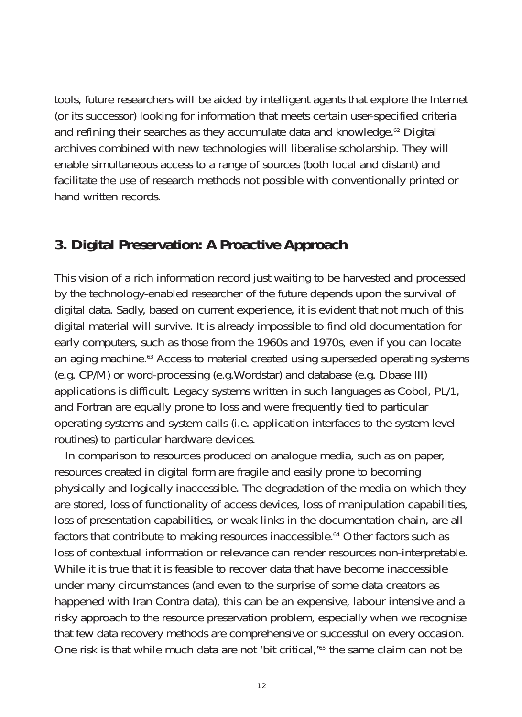tools, future researchers will be aided by intelligent agents that explore the Internet (or its successor) looking for information that meets certain user-specified criteria and refining their searches as they accumulate data and knowledge.<sup>62</sup> Digital archives combined with new technologies will liberalise scholarship. They will enable simultaneous access to a range of sources (both local and distant) and facilitate the use of research methods not possible with conventionally printed or hand written records.

## **3. Digital Preservation: A Proactive Approach**

This vision of a rich information record just waiting to be harvested and processed by the technology-enabled researcher of the future depends upon the survival of digital data. Sadly, based on current experience, it is evident that not much of this digital material will survive. It is already impossible to find old documentation for early computers, such as those from the 1960s and 1970s, even if you can locate an aging machine.<sup>63</sup> Access to material created using superseded operating systems (e.g. CP/M) or word-processing (e.g.Wordstar) and database (e.g. Dbase III) applications is difficult. Legacy systems written in such languages as Cobol, PL/1, and Fortran are equally prone to loss and were frequently tied to particular operating systems and system calls (i.e. application interfaces to the system level routines) to particular hardware devices.

In comparison to resources produced on analogue media, such as on paper, resources created in digital form are fragile and easily prone to becoming physically and logically inaccessible. The degradation of the media on which they are stored, loss of functionality of access devices, loss of manipulation capabilities, loss of presentation capabilities, or weak links in the documentation chain, are all factors that contribute to making resources inaccessible.<sup>64</sup> Other factors such as loss of contextual information or relevance can render resources non-interpretable. While it is true that it is feasible to recover data that have become inaccessible under many circumstances (and even to the surprise of some data creators as happened with Iran Contra data), this can be an expensive, labour intensive and a risky approach to the resource preservation problem, especially when we recognise that few data recovery methods are comprehensive or successful on every occasion. One risk is that while much data are not 'bit critical,<sup>165</sup> the same claim can not be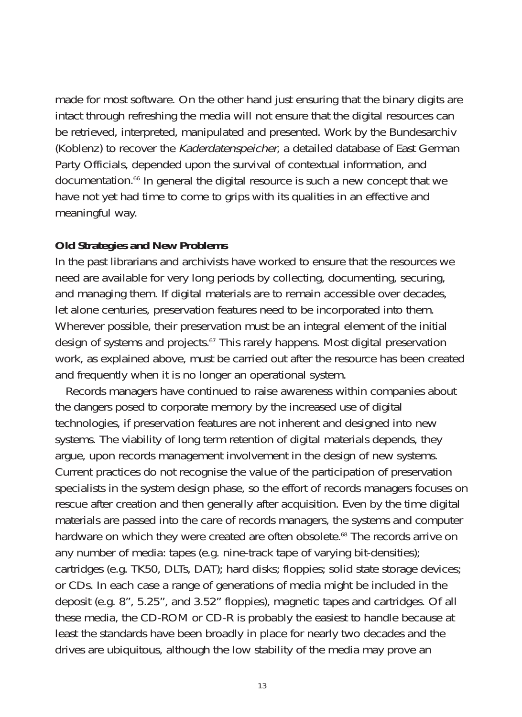made for most software. On the other hand just ensuring that the binary digits are intact through refreshing the media will not ensure that the digital resources can be retrieved, interpreted, manipulated and presented. Work by the Bundesarchiv (Koblenz) to recover the Kaderdatenspeicher, a detailed database of East German Party Officials, depended upon the survival of contextual information, and documentation.66 In general the digital resource is such a new concept that we have not yet had time to come to grips with its qualities in an effective and meaningful way.

#### **Old Strategies and New Problems**

In the past librarians and archivists have worked to ensure that the resources we need are available for very long periods by collecting, documenting, securing, and managing them. If digital materials are to remain accessible over decades, let alone centuries, preservation features need to be incorporated into them. Wherever possible, their preservation must be an integral element of the initial design of systems and projects.<sup>67</sup> This rarely happens. Most digital preservation work, as explained above, must be carried out after the resource has been created and frequently when it is no longer an operational system.

Records managers have continued to raise awareness within companies about the dangers posed to corporate memory by the increased use of digital technologies, if preservation features are not inherent and designed into new systems. The viability of long term retention of digital materials depends, they argue, upon records management involvement in the design of new systems. Current practices do not recognise the value of the participation of preservation specialists in the system design phase, so the effort of records managers focuses on rescue after creation and then generally after acquisition. Even by the time digital materials are passed into the care of records managers, the systems and computer hardware on which they were created are often obsolete.<sup>68</sup> The records arrive on any number of media: tapes (e.g. nine-track tape of varying bit-densities); cartridges (e.g. TK50, DLTs, DAT); hard disks; floppies; solid state storage devices; or CDs. In each case a range of generations of media might be included in the deposit (e.g. 8", 5.25", and 3.52" floppies), magnetic tapes and cartridges. Of all these media, the CD-ROM or CD-R is probably the easiest to handle because at least the standards have been broadly in place for nearly two decades and the drives are ubiquitous, although the low stability of the media may prove an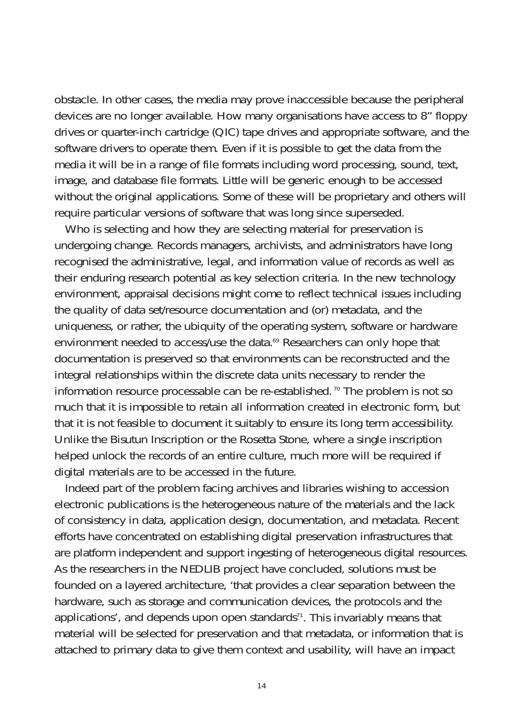obstacle. In other cases, the media may prove inaccessible because the peripheral devices are no longer available. How many organisations have access to 8" floppy drives or quarter-inch cartridge (QIC) tape drives and appropriate software, and the software drivers to operate them. Even if it is possible to get the data from the media it will be in a range of file formats including word processing, sound, text, image, and database file formats. Little will be generic enough to be accessed without the original applications. Some of these will be proprietary and others will require particular versions of software that was long since superseded.

Who is selecting and how they are selecting material for preservation is undergoing change. Records managers, archivists, and administrators have long recognised the administrative, legal, and information value of records as well as their enduring research potential as key selection criteria. In the new technology environment, appraisal decisions might come to reflect technical issues including the quality of data set/resource documentation and (or) metadata, and the uniqueness, or rather, the ubiquity of the operating system, software or hardware environment needed to access/use the data.<sup>69</sup> Researchers can only hope that documentation is preserved so that environments can be reconstructed and the integral relationships within the discrete data units necessary to render the information resource processable can be re-established.<sup>70</sup> The problem is not so much that it is impossible to retain all information created in electronic form, but that it is not feasible to document it suitably to ensure its long term accessibility. Unlike the Bisutun Inscription or the Rosetta Stone, where a single inscription helped unlock the records of an entire culture, much more will be required if digital materials are to be accessed in the future.

Indeed part of the problem facing archives and libraries wishing to accession electronic publications is the heterogeneous nature of the materials and the lack of consistency in data, application design, documentation, and metadata. Recent efforts have concentrated on establishing digital preservation infrastructures that are platform independent and support ingesting of heterogeneous digital resources. As the researchers in the NEDLIB project have concluded, solutions must be founded on a layered architecture, 'that provides a clear separation between the hardware, such as storage and communication devices, the protocols and the applications', and depends upon open standards<sup>71</sup>. This invariably means that material will be selected for preservation and that metadata, or information that is attached to primary data to give them context and usability, will have an impact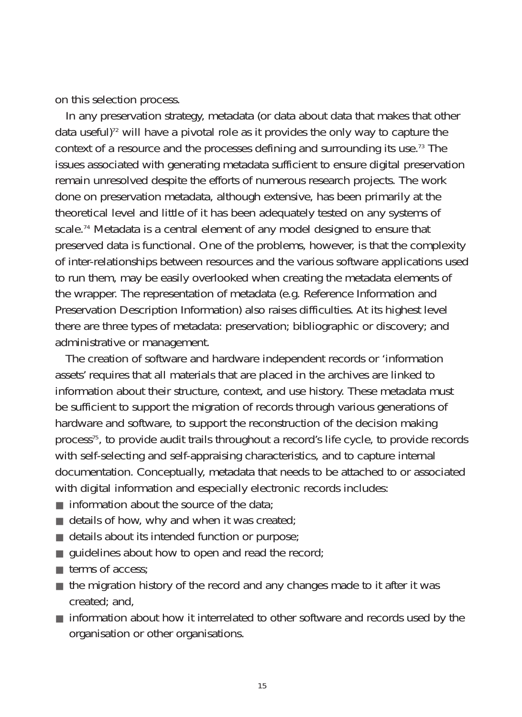on this selection process.

In any preservation strategy, metadata (or data about data that makes that other data useful)<sup>72</sup> will have a pivotal role as it provides the only way to capture the context of a resource and the processes defining and surrounding its use.73 The issues associated with generating metadata sufficient to ensure digital preservation remain unresolved despite the efforts of numerous research projects. The work done on preservation metadata, although extensive, has been primarily at the theoretical level and little of it has been adequately tested on any systems of scale.<sup>74</sup> Metadata is a central element of any model designed to ensure that preserved data is functional. One of the problems, however, is that the complexity of inter-relationships between resources and the various software applications used to run them, may be easily overlooked when creating the metadata elements of the wrapper. The representation of metadata (e.g. Reference Information and Preservation Description Information) also raises difficulties. At its highest level there are three types of metadata: preservation; bibliographic or discovery; and administrative or management.

The creation of software and hardware independent records or 'information assets' requires that all materials that are placed in the archives are linked to information about their structure, context, and use history. These metadata must be sufficient to support the migration of records through various generations of hardware and software, to support the reconstruction of the decision making process<sup>75</sup>, to provide audit trails throughout a record's life cycle, to provide records with self-selecting and self-appraising characteristics, and to capture internal documentation. Conceptually, metadata that needs to be attached to or associated with digital information and especially electronic records includes:

- $\blacksquare$  information about the source of the data;
- $\blacksquare$  details of how, why and when it was created;
- details about its intended function or purpose;
- $\blacksquare$  guidelines about how to open and read the record;
- terms of access:
- the migration history of the record and any changes made to it after it was created; and,
- information about how it interrelated to other software and records used by the organisation or other organisations.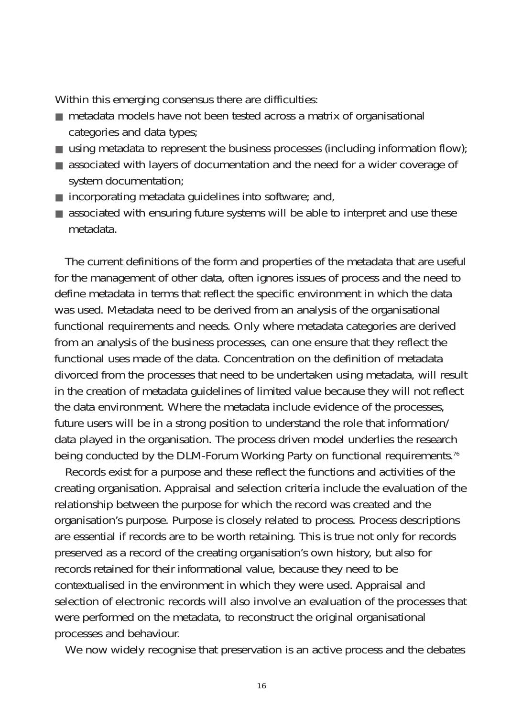Within this emerging consensus there are difficulties:

- metadata models have not been tested across a matrix of organisational categories and data types;
- using metadata to represent the business processes (including information flow);
- associated with layers of documentation and the need for a wider coverage of system documentation;
- $\blacksquare$  incorporating metadata guidelines into software; and,
- associated with ensuring future systems will be able to interpret and use these metadata.

The current definitions of the form and properties of the metadata that are useful for the management of other data, often ignores issues of process and the need to define metadata in terms that reflect the specific environment in which the data was used. Metadata need to be derived from an analysis of the organisational functional requirements and needs. Only where metadata categories are derived from an analysis of the business processes, can one ensure that they reflect the functional uses made of the data. Concentration on the definition of metadata divorced from the processes that need to be undertaken using metadata, will result in the creation of metadata guidelines of limited value because they will not reflect the data environment. Where the metadata include evidence of the processes, future users will be in a strong position to understand the role that information/ data played in the organisation. The process driven model underlies the research being conducted by the DLM-Forum Working Party on functional requirements.<sup>76</sup>

Records exist for a purpose and these reflect the functions and activities of the creating organisation. Appraisal and selection criteria include the evaluation of the relationship between the purpose for which the record was created and the organisation's purpose. Purpose is closely related to process. Process descriptions are essential if records are to be worth retaining. This is true not only for records preserved as a record of the creating organisation's own history, but also for records retained for their informational value, because they need to be contextualised in the environment in which they were used. Appraisal and selection of electronic records will also involve an evaluation of the processes that were performed on the metadata, to reconstruct the original organisational processes and behaviour.

We now widely recognise that preservation is an active process and the debates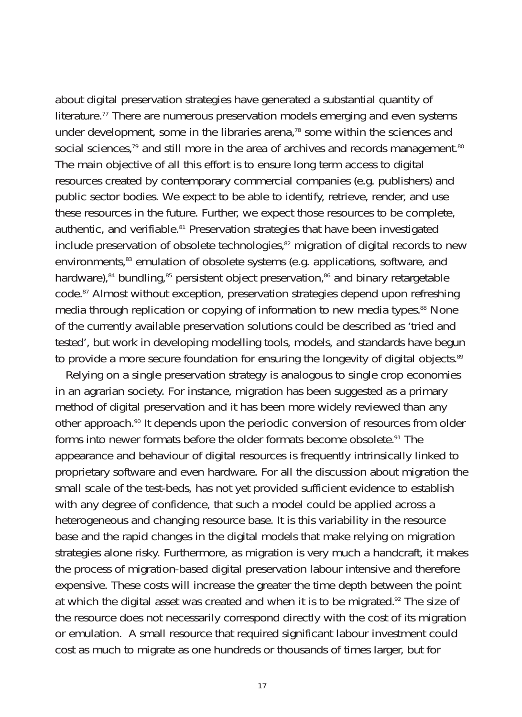about digital preservation strategies have generated a substantial quantity of literature.<sup>77</sup> There are numerous preservation models emerging and even systems under development, some in the libraries arena, $78$  some within the sciences and social sciences,<sup>79</sup> and still more in the area of archives and records management.<sup>80</sup> The main objective of all this effort is to ensure long term access to digital resources created by contemporary commercial companies (e.g. publishers) and public sector bodies. We expect to be able to identify, retrieve, render, and use these resources in the future. Further, we expect those resources to be complete, authentic, and verifiable.<sup>81</sup> Preservation strategies that have been investigated include preservation of obsolete technologies, $82$  migration of digital records to new environments,<sup>83</sup> emulation of obsolete systems (e.g. applications, software, and hardware), $84$  bundling, $85$  persistent object preservation, $86$  and binary retargetable code.87 Almost without exception, preservation strategies depend upon refreshing media through replication or copying of information to new media types.<sup>88</sup> None of the currently available preservation solutions could be described as 'tried and tested', but work in developing modelling tools, models, and standards have begun to provide a more secure foundation for ensuring the longevity of digital objects.<sup>89</sup>

Relying on a single preservation strategy is analogous to single crop economies in an agrarian society. For instance, migration has been suggested as a primary method of digital preservation and it has been more widely reviewed than any other approach.<sup>90</sup> It depends upon the periodic conversion of resources from older forms into newer formats before the older formats become obsolete.<sup>91</sup> The appearance and behaviour of digital resources is frequently intrinsically linked to proprietary software and even hardware. For all the discussion about migration the small scale of the test-beds, has not yet provided sufficient evidence to establish with any degree of confidence, that such a model could be applied across a heterogeneous and changing resource base. It is this variability in the resource base and the rapid changes in the digital models that make relying on migration strategies alone risky. Furthermore, as migration is very much a handcraft, it makes the process of migration-based digital preservation labour intensive and therefore expensive. These costs will increase the greater the time depth between the point at which the digital asset was created and when it is to be migrated.<sup>92</sup> The size of the resource does not necessarily correspond directly with the cost of its migration or emulation. A small resource that required significant labour investment could cost as much to migrate as one hundreds or thousands of times larger, but for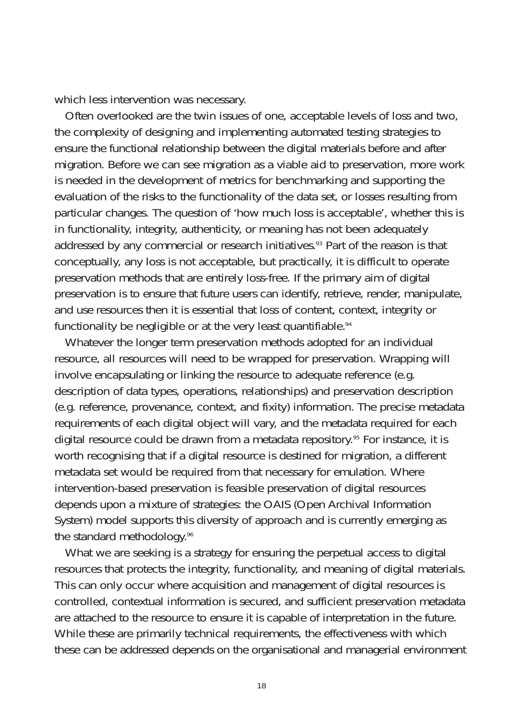which less intervention was necessary.

Often overlooked are the twin issues of one, acceptable levels of loss and two, the complexity of designing and implementing automated testing strategies to ensure the functional relationship between the digital materials before and after migration. Before we can see migration as a viable aid to preservation, more work is needed in the development of metrics for benchmarking and supporting the evaluation of the risks to the functionality of the data set, or losses resulting from particular changes. The question of 'how much loss is acceptable', whether this is in functionality, integrity, authenticity, or meaning has not been adequately addressed by any commercial or research initiatives.<sup>93</sup> Part of the reason is that conceptually, any loss is not acceptable, but practically, it is difficult to operate preservation methods that are entirely loss-free. If the primary aim of digital preservation is to ensure that future users can identify, retrieve, render, manipulate, and use resources then it is essential that loss of content, context, integrity or functionality be negligible or at the very least quantifiable.<sup>94</sup>

Whatever the longer term preservation methods adopted for an individual resource, all resources will need to be wrapped for preservation. Wrapping will involve encapsulating or linking the resource to adequate reference (e.g. description of data types, operations, relationships) and preservation description (e.g. reference, provenance, context, and fixity) information. The precise metadata requirements of each digital object will vary, and the metadata required for each digital resource could be drawn from a metadata repository.<sup>95</sup> For instance, it is worth recognising that if a digital resource is destined for migration, a different metadata set would be required from that necessary for emulation. Where intervention-based preservation is feasible preservation of digital resources depends upon a mixture of strategies: the OAIS (Open Archival Information System) model supports this diversity of approach and is currently emerging as the standard methodology.<sup>96</sup>

What we are seeking is a strategy for ensuring the perpetual access to digital resources that protects the integrity, functionality, and meaning of digital materials. This can only occur where acquisition and management of digital resources is controlled, contextual information is secured, and sufficient preservation metadata are attached to the resource to ensure it is capable of interpretation in the future. While these are primarily technical requirements, the effectiveness with which these can be addressed depends on the organisational and managerial environment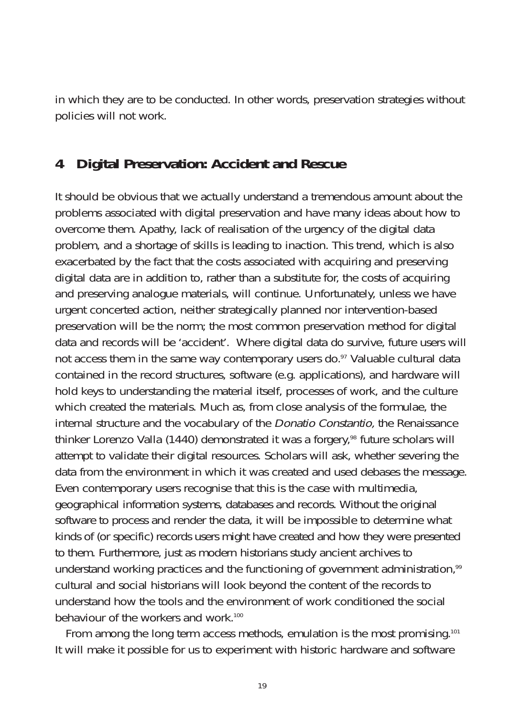in which they are to be conducted. In other words, preservation strategies without policies will not work.

## **4 Digital Preservation: Accident and Rescue**

It should be obvious that we actually understand a tremendous amount about the problems associated with digital preservation and have many ideas about how to overcome them. Apathy, lack of realisation of the urgency of the digital data problem, and a shortage of skills is leading to inaction. This trend, which is also exacerbated by the fact that the costs associated with acquiring and preserving digital data are in addition to, rather than a substitute for, the costs of acquiring and preserving analogue materials, will continue. Unfortunately, unless we have urgent concerted action, neither strategically planned nor intervention-based preservation will be the norm; the most common preservation method for digital data and records will be 'accident'. Where digital data do survive, future users will not access them in the same way contemporary users do.<sup>97</sup> Valuable cultural data contained in the record structures, software (e.g. applications), and hardware will hold keys to understanding the material itself, processes of work, and the culture which created the materials. Much as, from close analysis of the formulae, the internal structure and the vocabulary of the Donatio Constantio, the Renaissance thinker Lorenzo Valla (1440) demonstrated it was a forgery,<sup>98</sup> future scholars will attempt to validate their digital resources. Scholars will ask, whether severing the data from the environment in which it was created and used debases the message. Even contemporary users recognise that this is the case with multimedia, geographical information systems, databases and records. Without the original software to process and render the data, it will be impossible to determine what kinds of (or specific) records users might have created and how they were presented to them. Furthermore, just as modern historians study ancient archives to understand working practices and the functioning of government administration,<sup>99</sup> cultural and social historians will look beyond the content of the records to understand how the tools and the environment of work conditioned the social behaviour of the workers and work.<sup>100</sup>

From among the long term access methods, emulation is the most promising.<sup>101</sup> It will make it possible for us to experiment with historic hardware and software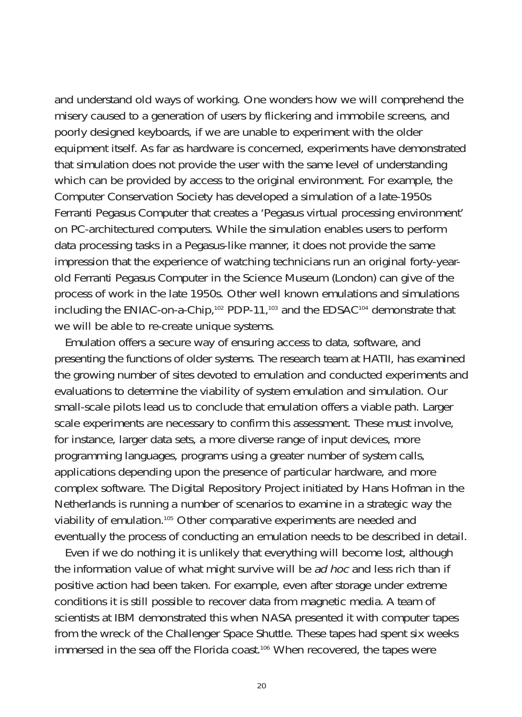and understand old ways of working. One wonders how we will comprehend the misery caused to a generation of users by flickering and immobile screens, and poorly designed keyboards, if we are unable to experiment with the older equipment itself. As far as hardware is concerned, experiments have demonstrated that simulation does not provide the user with the same level of understanding which can be provided by access to the original environment. For example, the Computer Conservation Society has developed a simulation of a late-1950s Ferranti Pegasus Computer that creates a 'Pegasus virtual processing environment' on PC-architectured computers. While the simulation enables users to perform data processing tasks in a Pegasus-like manner, it does not provide the same impression that the experience of watching technicians run an original forty-yearold Ferranti Pegasus Computer in the Science Museum (London) can give of the process of work in the late 1950s. Other well known emulations and simulations including the ENIAC-on-a-Chip,102 PDP-11,103 and the EDSAC104 demonstrate that we will be able to re-create unique systems.

Emulation offers a secure way of ensuring access to data, software, and presenting the functions of older systems. The research team at HATII, has examined the growing number of sites devoted to emulation and conducted experiments and evaluations to determine the viability of system emulation and simulation. Our small-scale pilots lead us to conclude that emulation offers a viable path. Larger scale experiments are necessary to confirm this assessment. These must involve, for instance, larger data sets, a more diverse range of input devices, more programming languages, programs using a greater number of system calls, applications depending upon the presence of particular hardware, and more complex software. The Digital Repository Project initiated by Hans Hofman in the Netherlands is running a number of scenarios to examine in a strategic way the viability of emulation.105 Other comparative experiments are needed and eventually the process of conducting an emulation needs to be described in detail.

Even if we do nothing it is unlikely that everything will become lost, although the information value of what might survive will be ad hoc and less rich than if positive action had been taken. For example, even after storage under extreme conditions it is still possible to recover data from magnetic media. A team of scientists at IBM demonstrated this when NASA presented it with computer tapes from the wreck of the Challenger Space Shuttle. These tapes had spent six weeks immersed in the sea off the Florida coast.<sup>106</sup> When recovered, the tapes were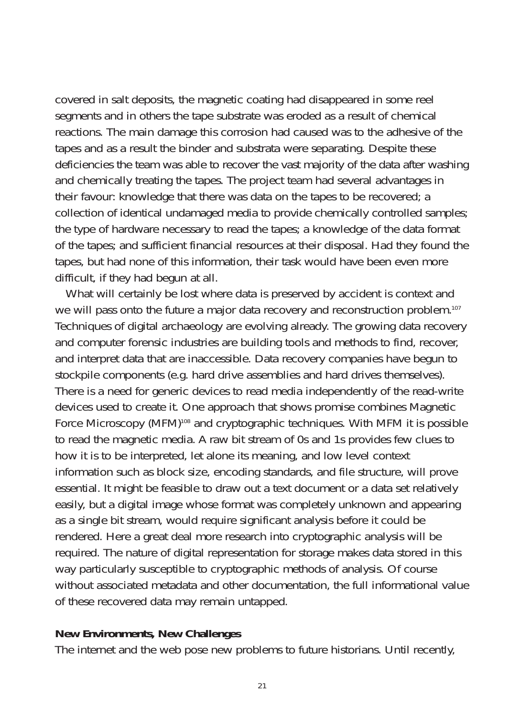covered in salt deposits, the magnetic coating had disappeared in some reel segments and in others the tape substrate was eroded as a result of chemical reactions. The main damage this corrosion had caused was to the adhesive of the tapes and as a result the binder and substrata were separating. Despite these deficiencies the team was able to recover the vast majority of the data after washing and chemically treating the tapes. The project team had several advantages in their favour: knowledge that there was data on the tapes to be recovered; a collection of identical undamaged media to provide chemically controlled samples; the type of hardware necessary to read the tapes; a knowledge of the data format of the tapes; and sufficient financial resources at their disposal. Had they found the tapes, but had none of this information, their task would have been even more difficult, if they had begun at all.

What will certainly be lost where data is preserved by accident is context and we will pass onto the future a major data recovery and reconstruction problem.<sup>107</sup> Techniques of digital archaeology are evolving already. The growing data recovery and computer forensic industries are building tools and methods to find, recover, and interpret data that are inaccessible. Data recovery companies have begun to stockpile components (e.g. hard drive assemblies and hard drives themselves). There is a need for generic devices to read media independently of the read-write devices used to create it. One approach that shows promise combines Magnetic Force Microscopy (MFM)<sup>108</sup> and cryptographic techniques. With MFM it is possible to read the magnetic media. A raw bit stream of 0s and 1s provides few clues to how it is to be interpreted, let alone its meaning, and low level context information such as block size, encoding standards, and file structure, will prove essential. It might be feasible to draw out a text document or a data set relatively easily, but a digital image whose format was completely unknown and appearing as a single bit stream, would require significant analysis before it could be rendered. Here a great deal more research into cryptographic analysis will be required. The nature of digital representation for storage makes data stored in this way particularly susceptible to cryptographic methods of analysis. Of course without associated metadata and other documentation, the full informational value of these recovered data may remain untapped.

### **New Environments, New Challenges**

The internet and the web pose new problems to future historians. Until recently,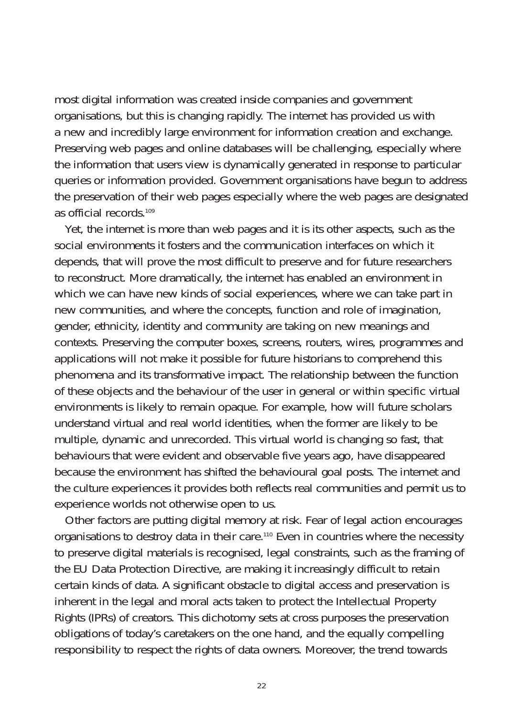most digital information was created inside companies and government organisations, but this is changing rapidly. The internet has provided us with a new and incredibly large environment for information creation and exchange. Preserving web pages and online databases will be challenging, especially where the information that users view is dynamically generated in response to particular queries or information provided. Government organisations have begun to address the preservation of their web pages especially where the web pages are designated as official records.109

Yet, the internet is more than web pages and it is its other aspects, such as the social environments it fosters and the communication interfaces on which it depends, that will prove the most difficult to preserve and for future researchers to reconstruct. More dramatically, the internet has enabled an environment in which we can have new kinds of social experiences, where we can take part in new communities, and where the concepts, function and role of imagination, gender, ethnicity, identity and community are taking on new meanings and contexts. Preserving the computer boxes, screens, routers, wires, programmes and applications will not make it possible for future historians to comprehend this phenomena and its transformative impact. The relationship between the function of these objects and the behaviour of the user in general or within specific virtual environments is likely to remain opaque. For example, how will future scholars understand virtual and real world identities, when the former are likely to be multiple, dynamic and unrecorded. This virtual world is changing so fast, that behaviours that were evident and observable five years ago, have disappeared because the environment has shifted the behavioural goal posts. The internet and the culture experiences it provides both reflects real communities and permit us to experience worlds not otherwise open to us.

Other factors are putting digital memory at risk. Fear of legal action encourages organisations to destroy data in their care.110 Even in countries where the necessity to preserve digital materials is recognised, legal constraints, such as the framing of the EU Data Protection Directive, are making it increasingly difficult to retain certain kinds of data. A significant obstacle to digital access and preservation is inherent in the legal and moral acts taken to protect the Intellectual Property Rights (IPRs) of creators. This dichotomy sets at cross purposes the preservation obligations of today's caretakers on the one hand, and the equally compelling responsibility to respect the rights of data owners. Moreover, the trend towards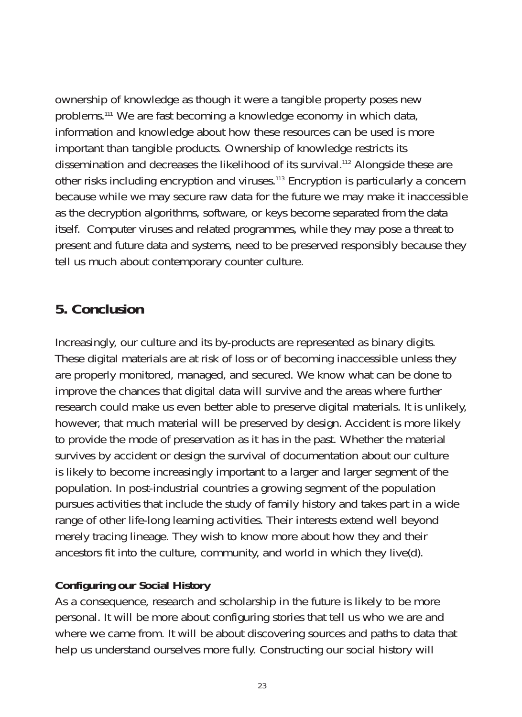ownership of knowledge as though it were a tangible property poses new problems.111 We are fast becoming a knowledge economy in which data, information and knowledge about how these resources can be used is more important than tangible products. Ownership of knowledge restricts its dissemination and decreases the likelihood of its survival.<sup>112</sup> Alongside these are other risks including encryption and viruses.113 Encryption is particularly a concern because while we may secure raw data for the future we may make it inaccessible as the decryption algorithms, software, or keys become separated from the data itself. Computer viruses and related programmes, while they may pose a threat to present and future data and systems, need to be preserved responsibly because they tell us much about contemporary counter culture.

## **5. Conclusion**

Increasingly, our culture and its by-products are represented as binary digits. These digital materials are at risk of loss or of becoming inaccessible unless they are properly monitored, managed, and secured. We know what can be done to improve the chances that digital data will survive and the areas where further research could make us even better able to preserve digital materials. It is unlikely, however, that much material will be preserved by design. Accident is more likely to provide the mode of preservation as it has in the past. Whether the material survives by accident or design the survival of documentation about our culture is likely to become increasingly important to a larger and larger segment of the population. In post-industrial countries a growing segment of the population pursues activities that include the study of family history and takes part in a wide range of other life-long learning activities. Their interests extend well beyond merely tracing lineage. They wish to know more about how they and their ancestors fit into the culture, community, and world in which they live(d).

## **Configuring our Social History**

As a consequence, research and scholarship in the future is likely to be more personal. It will be more about configuring stories that tell us who we are and where we came from. It will be about discovering sources and paths to data that help us understand ourselves more fully. Constructing our social history will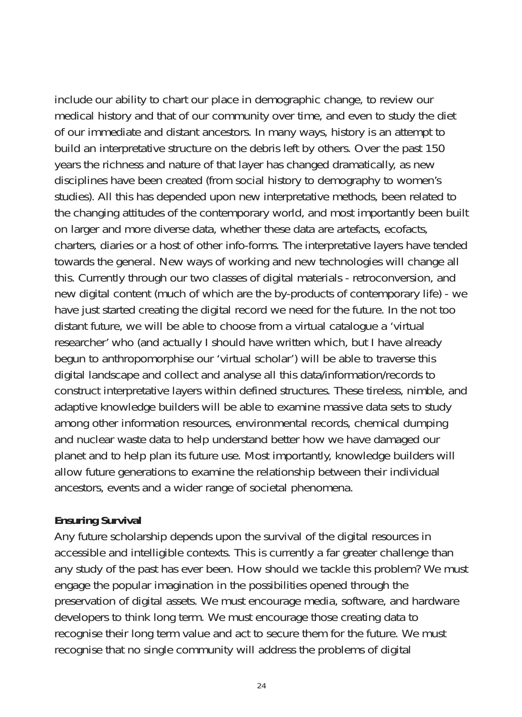include our ability to chart our place in demographic change, to review our medical history and that of our community over time, and even to study the diet of our immediate and distant ancestors. In many ways, history is an attempt to build an interpretative structure on the debris left by others. Over the past 150 years the richness and nature of that layer has changed dramatically, as new disciplines have been created (from social history to demography to women's studies). All this has depended upon new interpretative methods, been related to the changing attitudes of the contemporary world, and most importantly been built on larger and more diverse data, whether these data are artefacts, ecofacts, charters, diaries or a host of other info-forms. The interpretative layers have tended towards the general. New ways of working and new technologies will change all this. Currently through our two classes of digital materials - retroconversion, and new digital content (much of which are the by-products of contemporary life) - we have just started creating the digital record we need for the future. In the not too distant future, we will be able to choose from a virtual catalogue a 'virtual researcher' who (and actually I should have written which, but I have already begun to anthropomorphise our 'virtual scholar') will be able to traverse this digital landscape and collect and analyse all this data/information/records to construct interpretative layers within defined structures. These tireless, nimble, and adaptive knowledge builders will be able to examine massive data sets to study among other information resources, environmental records, chemical dumping and nuclear waste data to help understand better how we have damaged our planet and to help plan its future use. Most importantly, knowledge builders will allow future generations to examine the relationship between their individual ancestors, events and a wider range of societal phenomena.

## **Ensuring Survival**

Any future scholarship depends upon the survival of the digital resources in accessible and intelligible contexts. This is currently a far greater challenge than any study of the past has ever been. How should we tackle this problem? We must engage the popular imagination in the possibilities opened through the preservation of digital assets. We must encourage media, software, and hardware developers to think long term. We must encourage those creating data to recognise their long term value and act to secure them for the future. We must recognise that no single community will address the problems of digital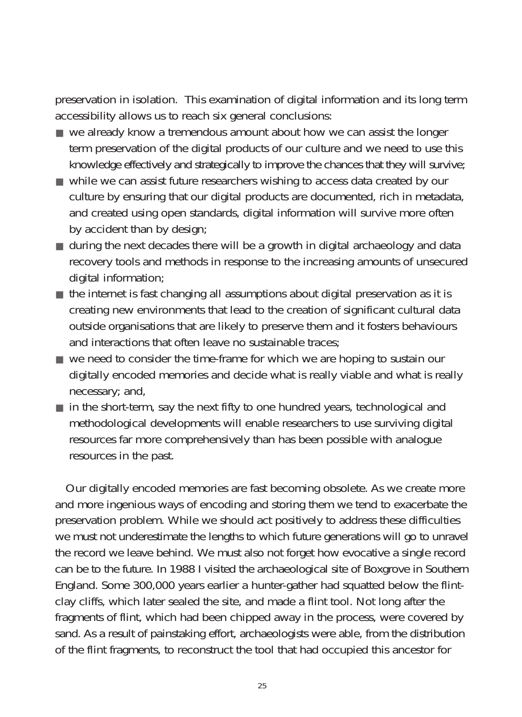preservation in isolation. This examination of digital information and its long term accessibility allows us to reach six general conclusions:

- we already know a tremendous amount about how we can assist the longer term preservation of the digital products of our culture and we need to use this knowledge effectively and strategically to improve the chances that they will survive;
- while we can assist future researchers wishing to access data created by our culture by ensuring that our digital products are documented, rich in metadata, and created using open standards, digital information will survive more often by accident than by design;
- during the next decades there will be a growth in digital archaeology and data recovery tools and methods in response to the increasing amounts of unsecured digital information;
- the internet is fast changing all assumptions about digital preservation as it is creating new environments that lead to the creation of significant cultural data outside organisations that are likely to preserve them and it fosters behaviours and interactions that often leave no sustainable traces;
- we need to consider the time-frame for which we are hoping to sustain our digitally encoded memories and decide what is really viable and what is really necessary; and,
- in the short-term, say the next fifty to one hundred years, technological and methodological developments will enable researchers to use surviving digital resources far more comprehensively than has been possible with analogue resources in the past.

Our digitally encoded memories are fast becoming obsolete. As we create more and more ingenious ways of encoding and storing them we tend to exacerbate the preservation problem. While we should act positively to address these difficulties we must not underestimate the lengths to which future generations will go to unravel the record we leave behind. We must also not forget how evocative a single record can be to the future. In 1988 I visited the archaeological site of Boxgrove in Southern England. Some 300,000 years earlier a hunter-gather had squatted below the flintclay cliffs, which later sealed the site, and made a flint tool. Not long after the fragments of flint, which had been chipped away in the process, were covered by sand. As a result of painstaking effort, archaeologists were able, from the distribution of the flint fragments, to reconstruct the tool that had occupied this ancestor for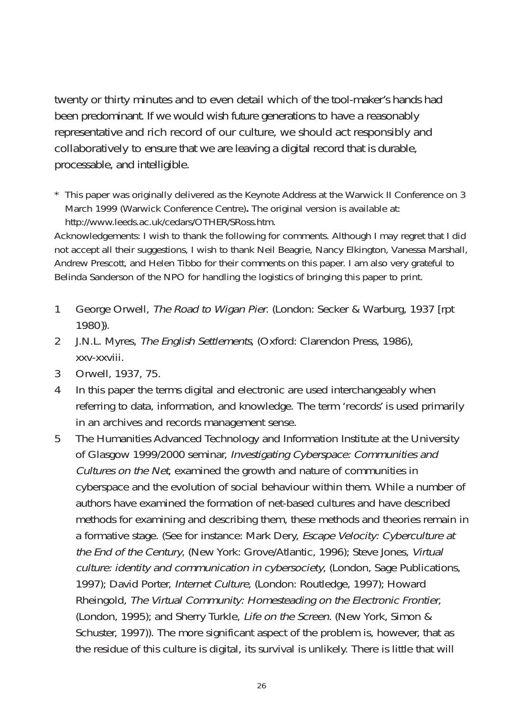twenty or thirty minutes and to even detail which of the tool-maker's hands had been predominant. If we would wish future generations to have a reasonably representative and rich record of our culture, we should act responsibly and collaboratively to ensure that we are leaving a digital record that is durable, processable, and intelligible.

\* This paper was originally delivered as the Keynote Address at the Warwick II Conference on 3 March 1999 (Warwick Conference Centre)**.** The original version is available at: http://www.leeds.ac.uk/cedars/OTHER/SRoss.htm.

Acknowledgements: I wish to thank the following for comments. Although I may regret that I did not accept all their suggestions, I wish to thank Neil Beagrie, Nancy Elkington, Vanessa Marshall, Andrew Prescott, and Helen Tibbo for their comments on this paper. I am also very grateful to Belinda Sanderson of the NPO for handling the logistics of bringing this paper to print.

- 1 George Orwell, The Road to Wigan Pier. (London: Secker & Warburg, 1937 [rpt 1980}).
- 2 J.N.L. Myres, The English Settlements, (Oxford: Clarendon Press, 1986), xxv-xxviii.
- 3 Orwell, 1937, 75.
- 4 In this paper the terms digital and electronic are used interchangeably when referring to data, information, and knowledge. The term 'records' is used primarily in an archives and records management sense.
- 5 The Humanities Advanced Technology and Information Institute at the University of Glasgow 1999/2000 seminar, Investigating Cyberspace: Communities and Cultures on the Net, examined the growth and nature of communities in cyberspace and the evolution of social behaviour within them. While a number of authors have examined the formation of net-based cultures and have described methods for examining and describing them, these methods and theories remain in a formative stage. (See for instance: Mark Dery, Escape Velocity: Cyberculture at the End of the Century, (New York: Grove/Atlantic, 1996); Steve Jones, Virtual culture: identity and communication in cybersociety, (London, Sage Publications, 1997); David Porter, Internet Culture, (London: Routledge, 1997); Howard Rheingold, The Virtual Community: Homesteading on the Electronic Frontier, (London, 1995); and Sherry Turkle, Life on the Screen. (New York, Simon & Schuster, 1997)). The more significant aspect of the problem is, however, that as the residue of this culture is digital, its survival is unlikely. There is little that will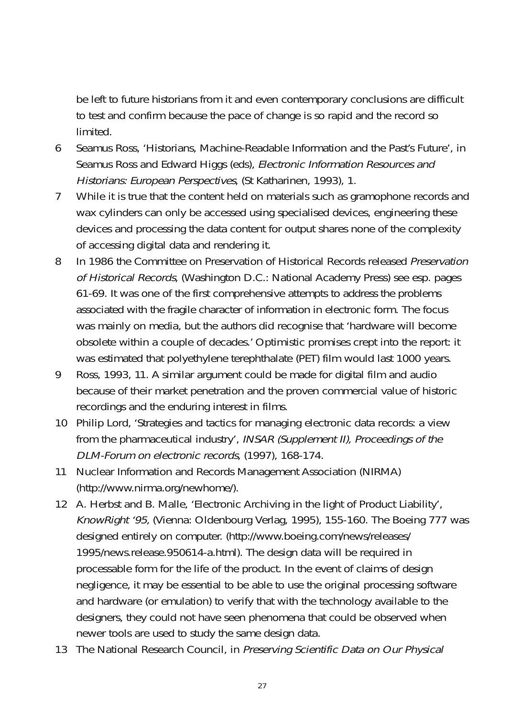be left to future historians from it and even contemporary conclusions are difficult to test and confirm because the pace of change is so rapid and the record so limited.

- 6 Seamus Ross, 'Historians, Machine-Readable Information and the Past's Future', in Seamus Ross and Edward Higgs (eds), Electronic Information Resources and Historians: European Perspectives, (St Katharinen, 1993), 1.
- 7 While it is true that the content held on materials such as gramophone records and wax cylinders can only be accessed using specialised devices, engineering these devices and processing the data content for output shares none of the complexity of accessing digital data and rendering it.
- 8 In 1986 the Committee on Preservation of Historical Records released *Preservation* of Historical Records, (Washington D.C.: National Academy Press) see esp. pages 61-69. It was one of the first comprehensive attempts to address the problems associated with the fragile character of information in electronic form. The focus was mainly on media, but the authors did recognise that 'hardware will become obsolete within a couple of decades.' Optimistic promises crept into the report: it was estimated that polyethylene terephthalate (PET) film would last 1000 years.
- 9 Ross, 1993, 11. A similar argument could be made for digital film and audio because of their market penetration and the proven commercial value of historic recordings and the enduring interest in films.
- 10 Philip Lord, 'Strategies and tactics for managing electronic data records: a view from the pharmaceutical industry', INSAR (Supplement II), Proceedings of the DLM-Forum on electronic records, (1997), 168-174.
- 11 Nuclear Information and Records Management Association (NIRMA) (http://www.nirma.org/newhome/).
- 12 A. Herbst and B. Malle, 'Electronic Archiving in the light of Product Liability', KnowRight '95, (Vienna: Oldenbourg Verlag, 1995), 155-160. The Boeing 777 was designed entirely on computer. (http://www.boeing.com/news/releases/ 1995/news.release.950614-a.html). The design data will be required in processable form for the life of the product. In the event of claims of design negligence, it may be essential to be able to use the original processing software and hardware (or emulation) to verify that with the technology available to the designers, they could not have seen phenomena that could be observed when newer tools are used to study the same design data.
- 13 The National Research Council, in Preserving Scientific Data on Our Physical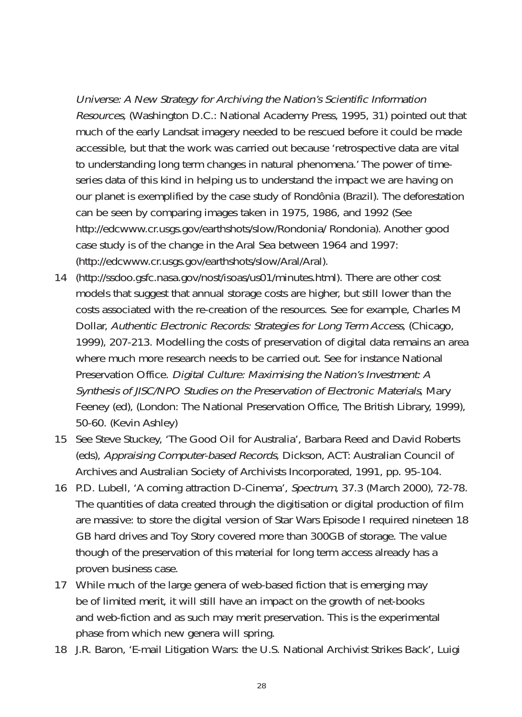Universe: A New Strategy for Archiving the Nation's Scientific Information Resources, (Washington D.C.: National Academy Press, 1995, 31) pointed out that much of the early Landsat imagery needed to be rescued before it could be made accessible, but that the work was carried out because 'retrospective data are vital to understanding long term changes in natural phenomena.' The power of timeseries data of this kind in helping us to understand the impact we are having on our planet is exemplified by the case study of Rondônia (Brazil). The deforestation can be seen by comparing images taken in 1975, 1986, and 1992 (See http://edcwww.cr.usgs.gov/earthshots/slow/Rondonia/ Rondonia). Another good case study is of the change in the Aral Sea between 1964 and 1997: (http://edcwww.cr.usgs.gov/earthshots/slow/Aral/Aral).

- 14 (http://ssdoo.gsfc.nasa.gov/nost/isoas/us01/minutes.html). There are other cost models that suggest that annual storage costs are higher, but still lower than the costs associated with the re-creation of the resources. See for example, Charles M Dollar, Authentic Electronic Records: Strategies for Long Term Access, (Chicago, 1999), 207-213. Modelling the costs of preservation of digital data remains an area where much more research needs to be carried out. See for instance National Preservation Office. Digital Culture: Maximising the Nation's Investment: A Synthesis of JISC/NPO Studies on the Preservation of Electronic Materials, Mary Feeney (ed), (London: The National Preservation Office, The British Library, 1999), 50-60. (Kevin Ashley)
- 15 See Steve Stuckey, 'The Good Oil for Australia', Barbara Reed and David Roberts (eds), Appraising Computer-based Records, Dickson, ACT: Australian Council of Archives and Australian Society of Archivists Incorporated, 1991, pp. 95-104.
- 16 P.D. Lubell, 'A coming attraction D-Cinema', Spectrum, 37.3 (March 2000), 72-78. The quantities of data created through the digitisation or digital production of film are massive: to store the digital version of Star Wars Episode I required nineteen 18 GB hard drives and Toy Story covered more than 300GB of storage. The value though of the preservation of this material for long term access already has a proven business case.
- 17 While much of the large genera of web-based fiction that is emerging may be of limited merit, it will still have an impact on the growth of net-books and web-fiction and as such may merit preservation. This is the experimental phase from which new genera will spring.
- 18 J.R. Baron, 'E-mail Litigation Wars: the U.S. National Archivist Strikes Back', Luigi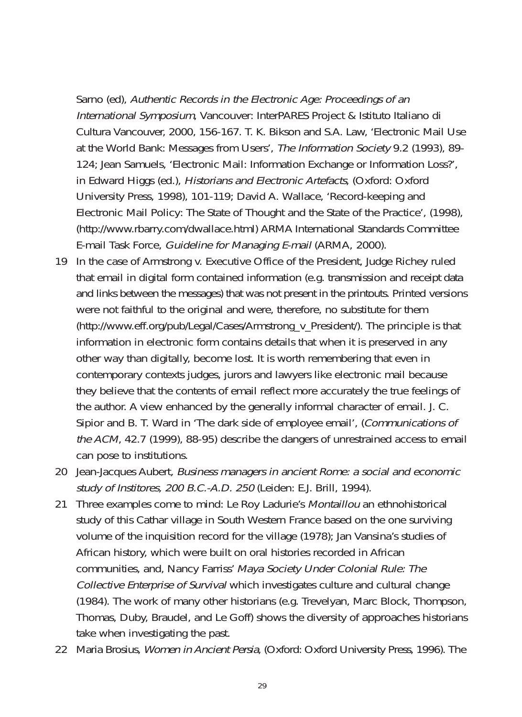Sarno (ed), Authentic Records in the Electronic Age: Proceedings of an International Symposium, Vancouver: InterPARES Project & Istituto Italiano di Cultura Vancouver, 2000, 156-167. T. K. Bikson and S.A. Law, 'Electronic Mail Use at the World Bank: Messages from Users', The Information Society 9.2 (1993), 89- 124; Jean Samuels, 'Electronic Mail: Information Exchange or Information Loss?', in Edward Higgs (ed.), Historians and Electronic Artefacts, (Oxford: Oxford University Press, 1998), 101-119; David A. Wallace, 'Record-keeping and Electronic Mail Policy: The State of Thought and the State of the Practice', (1998), (http://www.rbarry.com/dwallace.html) ARMA International Standards Committee E-mail Task Force, Guideline for Managing E-mail (ARMA, 2000).

- 19 In the case of Armstrong v. Executive Office of the President, Judge Richey ruled that email in digital form contained information (e.g. transmission and receipt data and links between the messages) that was not present in the printouts. Printed versions were not faithful to the original and were, therefore, no substitute for them (http://www.eff.org/pub/Legal/Cases/Armstrong\_v\_President/). The principle is that information in electronic form contains details that when it is preserved in any other way than digitally, become lost. It is worth remembering that even in contemporary contexts judges, jurors and lawyers like electronic mail because they believe that the contents of email reflect more accurately the true feelings of the author. A view enhanced by the generally informal character of email. J. C. Sipior and B. T. Ward in 'The dark side of employee email', (Communications of the ACM, 42.7 (1999), 88-95) describe the dangers of unrestrained access to email can pose to institutions.
- 20 Jean-Jacques Aubert, Business managers in ancient Rome: a social and economic study of Institores, 200 B.C.-A.D. 250 (Leiden: E.J. Brill, 1994).
- 21 Three examples come to mind: Le Roy Ladurie's Montaillou an ethnohistorical study of this Cathar village in South Western France based on the one surviving volume of the inquisition record for the village (1978); Jan Vansina's studies of African history, which were built on oral histories recorded in African communities, and, Nancy Farriss' Maya Society Under Colonial Rule: The Collective Enterprise of Survival which investigates culture and cultural change (1984). The work of many other historians (e.g. Trevelyan, Marc Block, Thompson, Thomas, Duby, Braudel, and Le Goff) shows the diversity of approaches historians take when investigating the past.
- 22 Maria Brosius, Women in Ancient Persia, (Oxford: Oxford University Press, 1996). The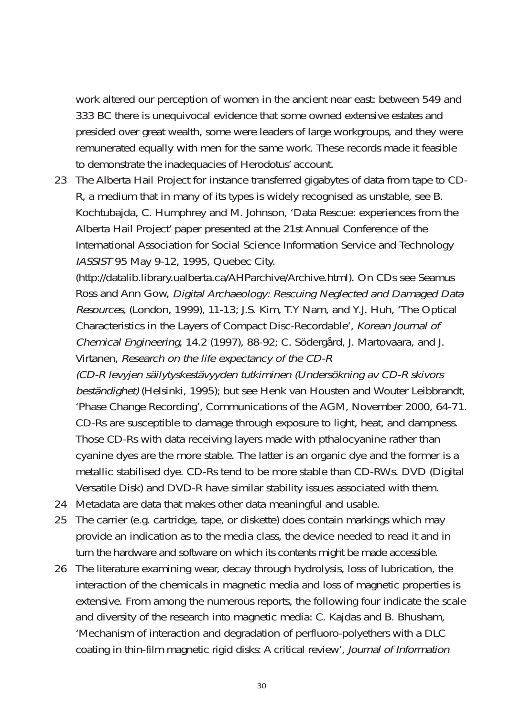work altered our perception of women in the ancient near east: between 549 and 333 BC there is unequivocal evidence that some owned extensive estates and presided over great wealth, some were leaders of large workgroups, and they were remunerated equally with men for the same work. These records made it feasible to demonstrate the inadequacies of Herodotus' account.

23 The Alberta Hail Project for instance transferred gigabytes of data from tape to CD-R, a medium that in many of its types is widely recognised as unstable, see B. Kochtubajda, C. Humphrey and M. Johnson, 'Data Rescue: experiences from the Alberta Hail Project' paper presented at the 21st Annual Conference of the International Association for Social Science Information Service and Technology IASSIST 95 May 9-12, 1995, Quebec City.

(http://datalib.library.ualberta.ca/AHParchive/Archive.html). On CDs see Seamus Ross and Ann Gow, Digital Archaeology: Rescuing Neglected and Damaged Data Resources, (London, 1999), 11-13; J.S. Kim, T.Y Nam, and Y.J. Huh, 'The Optical Characteristics in the Layers of Compact Disc-Recordable', Korean Journal of Chemical Engineering, 14.2 (1997), 88-92; C. Södergård, J. Martovaara, and J. Virtanen, Research on the life expectancy of the CD-R

(CD-R levyjen säilytyskestävyyden tutkiminen (Undersökning av CD-R skivors beständighet) (Helsinki, 1995); but see Henk van Housten and Wouter Leibbrandt, 'Phase Change Recording', Communications of the AGM, November 2000, 64-71. CD-Rs are susceptible to damage through exposure to light, heat, and dampness. Those CD-Rs with data receiving layers made with pthalocyanine rather than cyanine dyes are the more stable. The latter is an organic dye and the former is a metallic stabilised dye. CD-Rs tend to be more stable than CD-RWs. DVD (Digital Versatile Disk) and DVD-R have similar stability issues associated with them.

- 24 Metadata are data that makes other data meaningful and usable.
- 25 The carrier (e.g. cartridge, tape, or diskette) does contain markings which may provide an indication as to the media class, the device needed to read it and in turn the hardware and software on which its contents might be made accessible.
- 26 The literature examining wear, decay through hydrolysis, loss of lubrication, the interaction of the chemicals in magnetic media and loss of magnetic properties is extensive. From among the numerous reports, the following four indicate the scale and diversity of the research into magnetic media: C. Kajdas and B. Bhusham, 'Mechanism of interaction and degradation of perfluoro-polyethers with a DLC coating in thin-film magnetic rigid disks: A critical review', Journal of Information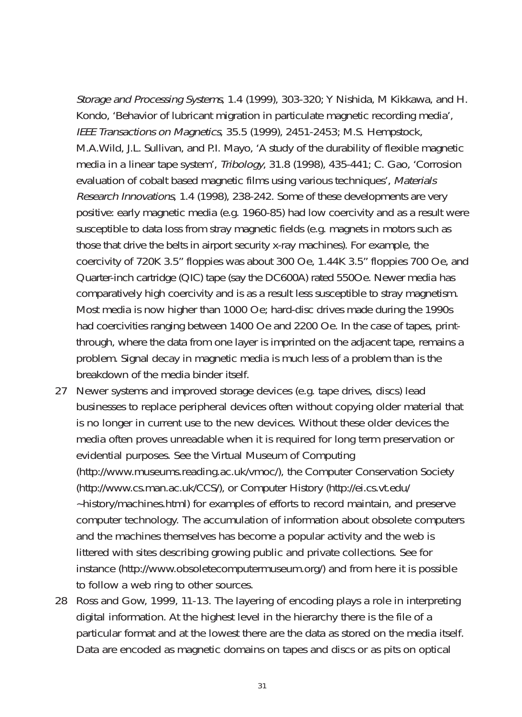Storage and Processing Systems, 1.4 (1999), 303-320; Y Nishida, M Kikkawa, and H. Kondo, 'Behavior of lubricant migration in particulate magnetic recording media', IEEE Transactions on Magnetics, 35.5 (1999), 2451-2453; M.S. Hempstock, M.A.Wild, J.L. Sullivan, and P.I. Mayo, 'A study of the durability of flexible magnetic media in a linear tape system', Tribology, 31.8 (1998), 435-441; C. Gao, 'Corrosion evaluation of cobalt based magnetic films using various techniques', Materials Research Innovations, 1.4 (1998), 238-242. Some of these developments are very positive: early magnetic media (e.g. 1960-85) had low coercivity and as a result were susceptible to data loss from stray magnetic fields (e.g. magnets in motors such as those that drive the belts in airport security x-ray machines). For example, the coercivity of 720K 3.5" floppies was about 300 Oe, 1.44K 3.5" floppies 700 Oe, and Quarter-inch cartridge (QIC) tape (say the DC600A) rated 550Oe. Newer media has comparatively high coercivity and is as a result less susceptible to stray magnetism. Most media is now higher than 1000 Oe; hard-disc drives made during the 1990s had coercivities ranging between 1400 Oe and 2200 Oe. In the case of tapes, printthrough, where the data from one layer is imprinted on the adjacent tape, remains a problem. Signal decay in magnetic media is much less of a problem than is the breakdown of the media binder itself.

- 27 Newer systems and improved storage devices (e.g. tape drives, discs) lead businesses to replace peripheral devices often without copying older material that is no longer in current use to the new devices. Without these older devices the media often proves unreadable when it is required for long term preservation or evidential purposes. See the Virtual Museum of Computing (http://www.museums.reading.ac.uk/vmoc/), the Computer Conservation Society (http://www.cs.man.ac.uk/CCS/), or Computer History (http://ei.cs.vt.edu/ ~history/machines.html) for examples of efforts to record maintain, and preserve computer technology. The accumulation of information about obsolete computers and the machines themselves has become a popular activity and the web is littered with sites describing growing public and private collections. See for instance (http://www.obsoletecomputermuseum.org/) and from here it is possible to follow a web ring to other sources.
- 28 Ross and Gow, 1999, 11-13. The layering of encoding plays a role in interpreting digital information. At the highest level in the hierarchy there is the file of a particular format and at the lowest there are the data as stored on the media itself. Data are encoded as magnetic domains on tapes and discs or as pits on optical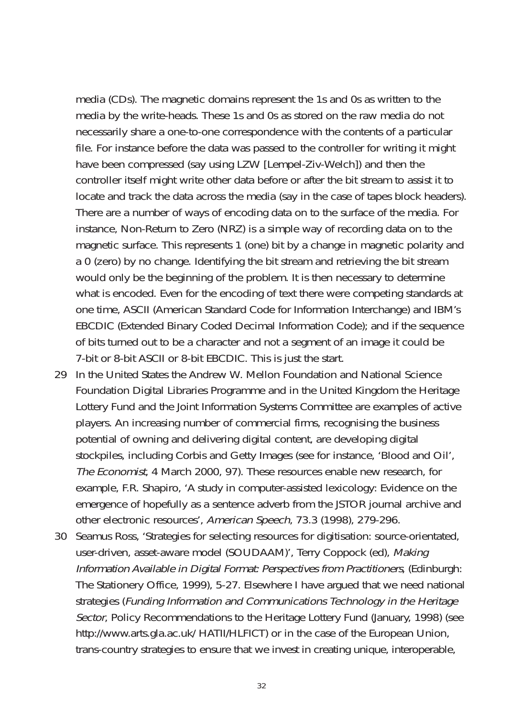media (CDs). The magnetic domains represent the 1s and 0s as written to the media by the write-heads. These 1s and 0s as stored on the raw media do not necessarily share a one-to-one correspondence with the contents of a particular file. For instance before the data was passed to the controller for writing it might have been compressed (say using LZW [Lempel-Ziv-Welch]) and then the controller itself might write other data before or after the bit stream to assist it to locate and track the data across the media (say in the case of tapes block headers). There are a number of ways of encoding data on to the surface of the media. For instance, Non-Return to Zero (NRZ) is a simple way of recording data on to the magnetic surface. This represents 1 (one) bit by a change in magnetic polarity and a 0 (zero) by no change. Identifying the bit stream and retrieving the bit stream would only be the beginning of the problem. It is then necessary to determine what is encoded. Even for the encoding of text there were competing standards at one time, ASCII (American Standard Code for Information Interchange) and IBM's EBCDIC (Extended Binary Coded Decimal Information Code); and if the sequence of bits turned out to be a character and not a segment of an image it could be 7-bit or 8-bit ASCII or 8-bit EBCDIC. This is just the start.

- 29 In the United States the Andrew W. Mellon Foundation and National Science Foundation Digital Libraries Programme and in the United Kingdom the Heritage Lottery Fund and the Joint Information Systems Committee are examples of active players. An increasing number of commercial firms, recognising the business potential of owning and delivering digital content, are developing digital stockpiles, including Corbis and Getty Images (see for instance, 'Blood and Oil', The Economist, 4 March 2000, 97). These resources enable new research, for example, F.R. Shapiro, 'A study in computer-assisted lexicology: Evidence on the emergence of hopefully as a sentence adverb from the JSTOR journal archive and other electronic resources', American Speech, 73.3 (1998), 279-296.
- 30 Seamus Ross, 'Strategies for selecting resources for digitisation: source-orientated, user-driven, asset-aware model (SOUDAAM)', Terry Coppock (ed), Making Information Available in Digital Format: Perspectives from Practitioners, (Edinburgh: The Stationery Office, 1999), 5-27. Elsewhere I have argued that we need national strategies (Funding Information and Communications Technology in the Heritage Sector, Policy Recommendations to the Heritage Lottery Fund (January, 1998) (see http://www.arts.gla.ac.uk/ HATII/HLFICT) or in the case of the European Union, trans-country strategies to ensure that we invest in creating unique, interoperable,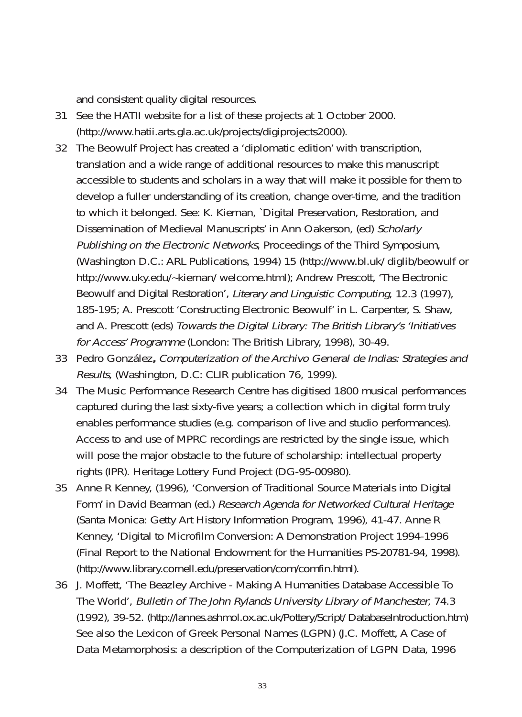and consistent quality digital resources.

- 31 See the HATII website for a list of these projects at 1 October 2000. (http://www.hatii.arts.gla.ac.uk/projects/digiprojects2000).
- 32 The Beowulf Project has created a 'diplomatic edition' with transcription, translation and a wide range of additional resources to make this manuscript accessible to students and scholars in a way that will make it possible for them to develop a fuller understanding of its creation, change over-time, and the tradition to which it belonged. See: K. Kiernan, `Digital Preservation, Restoration, and Dissemination of Medieval Manuscripts' in Ann Oakerson, (ed) Scholarly Publishing on the Electronic Networks, Proceedings of the Third Symposium, (Washington D.C.: ARL Publications, 1994) 15 (http://www.bl.uk/ diglib/beowulf or http://www.uky.edu/~kiernan/ welcome.html); Andrew Prescott, 'The Electronic Beowulf and Digital Restoration', Literary and Linguistic Computing, 12.3 (1997), 185-195; A. Prescott 'Constructing Electronic Beowulf' in L. Carpenter, S. Shaw, and A. Prescott (eds) Towards the Digital Library: The British Library's 'Initiatives for Access' Programme (London: The British Library, 1998), 30-49.
- 33 Pedro González**,** Computerization of the Archivo General de Indias: Strategies and Results, (Washington, D.C: CLIR publication 76, 1999).
- 34 The Music Performance Research Centre has digitised 1800 musical performances captured during the last sixty-five years; a collection which in digital form truly enables performance studies (e.g. comparison of live and studio performances). Access to and use of MPRC recordings are restricted by the single issue, which will pose the major obstacle to the future of scholarship: intellectual property rights (IPR). Heritage Lottery Fund Project (DG-95-00980).
- 35 Anne R Kenney, (1996), 'Conversion of Traditional Source Materials into Digital Form' in David Bearman (ed.) Research Agenda for Networked Cultural Heritage (Santa Monica: Getty Art History Information Program, 1996), 41-47. Anne R Kenney, 'Digital to Microfilm Conversion: A Demonstration Project 1994-1996 (Final Report to the National Endowment for the Humanities PS-20781-94, 1998). (http://www.library.cornell.edu/preservation/com/comfin.html).
- 36 J. Moffett, 'The Beazley Archive Making A Humanities Database Accessible To The World', Bulletin of The John Rylands University Library of Manchester, 74.3 (1992), 39-52. (http://lannes.ashmol.ox.ac.uk/Pottery/Script/ DatabaseIntroduction.htm) See also the Lexicon of Greek Personal Names (LGPN) (J.C. Moffett, A Case of Data Metamorphosis: a description of the Computerization of LGPN Data, 1996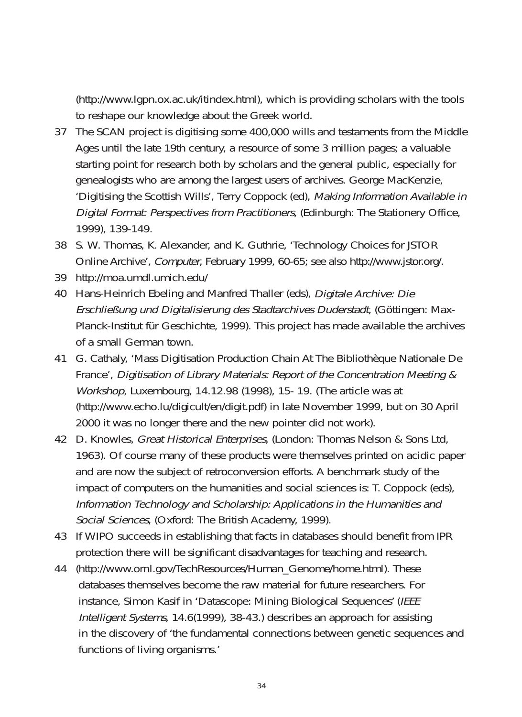(http://www.lgpn.ox.ac.uk/itindex.html), which is providing scholars with the tools to reshape our knowledge about the Greek world.

- 37 The SCAN project is digitising some 400,000 wills and testaments from the Middle Ages until the late 19th century, a resource of some 3 million pages; a valuable starting point for research both by scholars and the general public, especially for genealogists who are among the largest users of archives. George MacKenzie, 'Digitising the Scottish Wills', Terry Coppock (ed), Making Information Available in Digital Format: Perspectives from Practitioners, (Edinburgh: The Stationery Office, 1999), 139-149.
- 38 S. W. Thomas, K. Alexander, and K. Guthrie, 'Technology Choices for JSTOR Online Archive', Computer, February 1999, 60-65; see also http://www.jstor.org/.
- 39 http://moa.umdl.umich.edu/
- 40 Hans-Heinrich Ebeling and Manfred Thaller (eds), Digitale Archive: Die Erschließung und Digitalisierung des Stadtarchives Duderstadt, (Göttingen: Max-Planck-Institut für Geschichte, 1999). This project has made available the archives of a small German town.
- 41 G. Cathaly, 'Mass Digitisation Production Chain At The Bibliothèque Nationale De France', Digitisation of Library Materials: Report of the Concentration Meeting & Workshop, Luxembourg, 14.12.98 (1998), 15- 19. (The article was at (http://www.echo.lu/digicult/en/digit.pdf) in late November 1999, but on 30 April 2000 it was no longer there and the new pointer did not work).
- 42 D. Knowles, Great Historical Enterprises, (London: Thomas Nelson & Sons Ltd, 1963). Of course many of these products were themselves printed on acidic paper and are now the subject of retroconversion efforts. A benchmark study of the impact of computers on the humanities and social sciences is: T. Coppock (eds), Information Technology and Scholarship: Applications in the Humanities and Social Sciences, (Oxford: The British Academy, 1999).
- 43 If WIPO succeeds in establishing that facts in databases should benefit from IPR protection there will be significant disadvantages for teaching and research.
- 44 (http://www.ornl.gov/TechResources/Human\_Genome/home.html). These databases themselves become the raw material for future researchers. For instance, Simon Kasif in 'Datascope: Mining Biological Sequences' (IEEE Intelligent Systems, 14.6(1999), 38-43.) describes an approach for assisting in the discovery of 'the fundamental connections between genetic sequences and functions of living organisms.'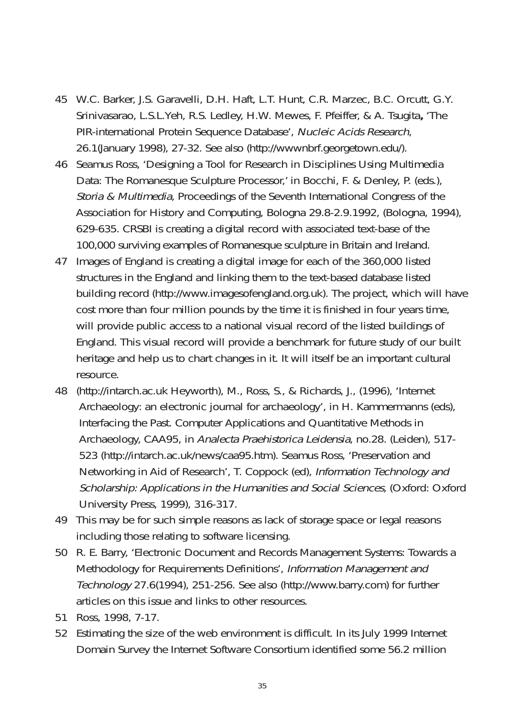- 45 W.C. Barker, J.S. Garavelli, D.H. Haft, L.T. Hunt, C.R. Marzec, B.C. Orcutt, G.Y. Srinivasarao, L.S.L.Yeh, R.S. Ledley, H.W. Mewes, F. Pfeiffer, & A. Tsugita**,** 'The PIR-international Protein Sequence Database', Nucleic Acids Research, 26.1(January 1998), 27-32. See also (http://wwwnbrf.georgetown.edu/).
- 46 Seamus Ross, 'Designing a Tool for Research in Disciplines Using Multimedia Data: The Romanesque Sculpture Processor,' in Bocchi, F. & Denley, P. (eds.), Storia & Multimedia, Proceedings of the Seventh International Congress of the Association for History and Computing, Bologna 29.8-2.9.1992, (Bologna, 1994), 629-635. CRSBI is creating a digital record with associated text-base of the 100,000 surviving examples of Romanesque sculpture in Britain and Ireland.
- 47 Images of England is creating a digital image for each of the 360,000 listed structures in the England and linking them to the text-based database listed building record (http://www.imagesofengland.org.uk). The project, which will have cost more than four million pounds by the time it is finished in four years time, will provide public access to a national visual record of the listed buildings of England. This visual record will provide a benchmark for future study of our built heritage and help us to chart changes in it. It will itself be an important cultural resource.
- 48 (http://intarch.ac.uk Heyworth), M., Ross, S., & Richards, J., (1996), 'Internet Archaeology: an electronic journal for archaeology', in H. Kammermanns (eds), Interfacing the Past. Computer Applications and Quantitative Methods in Archaeology, CAA95, in Analecta Praehistorica Leidensia, no.28. (Leiden), 517- 523 (http://intarch.ac.uk/news/caa95.htm). Seamus Ross, 'Preservation and Networking in Aid of Research', T. Coppock (ed), Information Technology and Scholarship: Applications in the Humanities and Social Sciences, (Oxford: Oxford University Press, 1999), 316-317.
- 49 This may be for such simple reasons as lack of storage space or legal reasons including those relating to software licensing.
- 50 R. E. Barry, 'Electronic Document and Records Management Systems: Towards a Methodology for Requirements Definitions', Information Management and Technology 27.6(1994), 251-256. See also (http://www.barry.com) for further articles on this issue and links to other resources.
- 51 Ross, 1998, 7-17.
- 52 Estimating the size of the web environment is difficult. In its July 1999 Internet Domain Survey the Internet Software Consortium identified some 56.2 million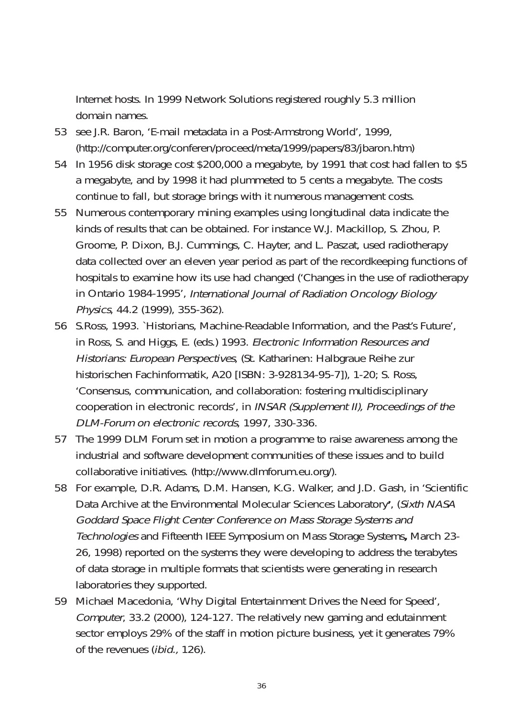Internet hosts. In 1999 Network Solutions registered roughly 5.3 million domain names.

- 53 see J.R. Baron, 'E-mail metadata in a Post-Armstrong World', 1999, (http://computer.org/conferen/proceed/meta/1999/papers/83/jbaron.htm)
- 54 In 1956 disk storage cost \$200,000 a megabyte, by 1991 that cost had fallen to \$5 a megabyte, and by 1998 it had plummeted to 5 cents a megabyte. The costs continue to fall, but storage brings with it numerous management costs.
- 55 Numerous contemporary mining examples using longitudinal data indicate the kinds of results that can be obtained. For instance W.J. Mackillop, S. Zhou, P. Groome, P. Dixon, B.J. Cummings, C. Hayter, and L. Paszat, used radiotherapy data collected over an eleven year period as part of the recordkeeping functions of hospitals to examine how its use had changed ('Changes in the use of radiotherapy in Ontario 1984-1995', International Journal of Radiation Oncology Biology Physics, 44.2 (1999), 355-362).
- 56 S.Ross, 1993. `Historians, Machine-Readable Information, and the Past's Future', in Ross, S. and Higgs, E. (eds.) 1993. Electronic Information Resources and Historians: European Perspectives, (St. Katharinen: Halbgraue Reihe zur historischen Fachinformatik, A20 [ISBN: 3-928134-95-7]), 1-20; S. Ross, 'Consensus, communication, and collaboration: fostering multidisciplinary cooperation in electronic records', in INSAR (Supplement II), Proceedings of the DLM-Forum on electronic records, 1997, 330-336.
- 57 The 1999 DLM Forum set in motion a programme to raise awareness among the industrial and software development communities of these issues and to build collaborative initiatives. (http://www.dlmforum.eu.org/).
- 58 For example, D.R. Adams, D.M. Hansen, K.G. Walker, and J.D. Gash, in 'Scientific Data Archive at the Environmental Molecular Sciences Laboratory**'**, (Sixth NASA Goddard Space Flight Center Conference on Mass Storage Systems and Technologies and Fifteenth IEEE Symposium on Mass Storage Systems**,** March 23- 26, 1998) reported on the systems they were developing to address the terabytes of data storage in multiple formats that scientists were generating in research laboratories they supported.
- 59 Michael Macedonia, 'Why Digital Entertainment Drives the Need for Speed', Computer, 33.2 (2000), 124-127. The relatively new gaming and edutainment sector employs 29% of the staff in motion picture business, yet it generates 79% of the revenues (ibid., 126).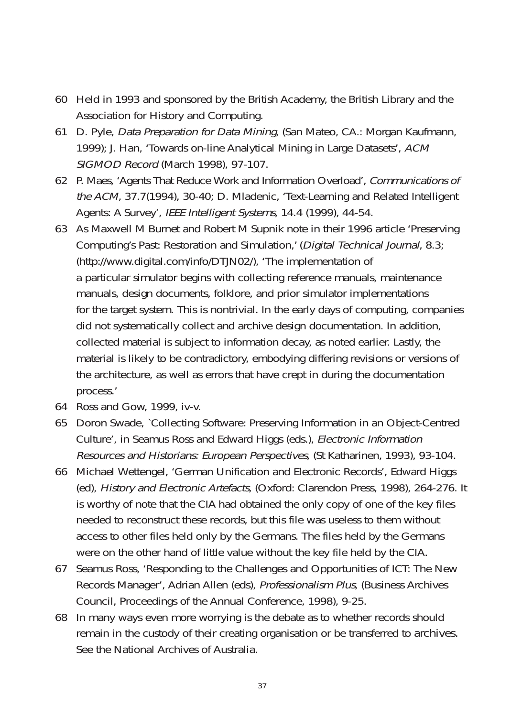- 60 Held in 1993 and sponsored by the British Academy, the British Library and the Association for History and Computing.
- 61 D. Pyle, Data Preparation for Data Mining, (San Mateo, CA.: Morgan Kaufmann, 1999); J. Han, 'Towards on-line Analytical Mining in Large Datasets', ACM SIGMOD Record (March 1998), 97-107.
- 62 P. Maes, 'Agents That Reduce Work and Information Overload', Communications of the ACM, 37.7(1994), 30-40; D. Mladenic, 'Text-Learning and Related Intelligent Agents: A Survey', IEEE Intelligent Systems, 14.4 (1999), 44-54.
- 63 As Maxwell M Burnet and Robert M Supnik note in their 1996 article 'Preserving Computing's Past: Restoration and Simulation,' (Digital Technical Journal, 8.3; (http://www.digital.com/info/DTJN02/), 'The implementation of a particular simulator begins with collecting reference manuals, maintenance manuals, design documents, folklore, and prior simulator implementations for the target system. This is nontrivial. In the early days of computing, companies did not systematically collect and archive design documentation. In addition, collected material is subject to information decay, as noted earlier. Lastly, the material is likely to be contradictory, embodying differing revisions or versions of the architecture, as well as errors that have crept in during the documentation process.'
- 64 Ross and Gow, 1999, iv-v.
- 65 Doron Swade, `Collecting Software: Preserving Information in an Object-Centred Culture', in Seamus Ross and Edward Higgs (eds.), Electronic Information Resources and Historians: European Perspectives, (St Katharinen, 1993), 93-104.
- 66 Michael Wettengel, 'German Unification and Electronic Records', Edward Higgs (ed), History and Electronic Artefacts, (Oxford: Clarendon Press, 1998), 264-276. It is worthy of note that the CIA had obtained the only copy of one of the key files needed to reconstruct these records, but this file was useless to them without access to other files held only by the Germans. The files held by the Germans were on the other hand of little value without the key file held by the CIA.
- 67 Seamus Ross, 'Responding to the Challenges and Opportunities of ICT: The New Records Manager', Adrian Allen (eds), Professionalism Plus, (Business Archives Council, Proceedings of the Annual Conference, 1998), 9-25.
- 68 In many ways even more worrying is the debate as to whether records should remain in the custody of their creating organisation or be transferred to archives. See the National Archives of Australia.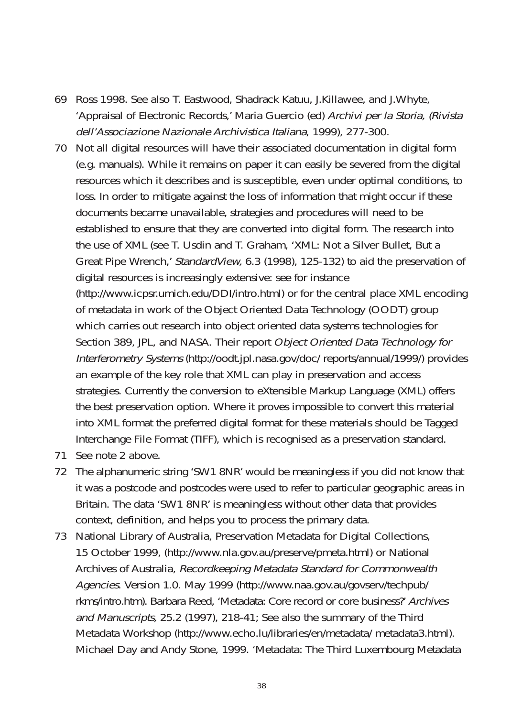- 69 Ross 1998. See also T. Eastwood, Shadrack Katuu, J.Killawee, and J.Whyte, 'Appraisal of Electronic Records,' Maria Guercio (ed) Archivi per la Storia, (Rivista dell'Associazione Nazionale Archivistica Italiana, 1999), 277-300.
- 70 Not all digital resources will have their associated documentation in digital form (e.g. manuals). While it remains on paper it can easily be severed from the digital resources which it describes and is susceptible, even under optimal conditions, to loss. In order to mitigate against the loss of information that might occur if these documents became unavailable, strategies and procedures will need to be established to ensure that they are converted into digital form. The research into the use of XML (see T. Usdin and T. Graham, 'XML: Not a Silver Bullet, But a Great Pipe Wrench,' StandardView, 6.3 (1998), 125-132) to aid the preservation of digital resources is increasingly extensive: see for instance (http://www.icpsr.umich.edu/DDI/intro.html) or for the central place XML encoding of metadata in work of the Object Oriented Data Technology (OODT) group which carries out research into object oriented data systems technologies for Section 389, JPL, and NASA. Their report Object Oriented Data Technology for Interferometry Systems (http://oodt.jpl.nasa.gov/doc/ reports/annual/1999/) provides an example of the key role that XML can play in preservation and access strategies. Currently the conversion to eXtensible Markup Language (XML) offers the best preservation option. Where it proves impossible to convert this material into XML format the preferred digital format for these materials should be Tagged Interchange File Format (TIFF), which is recognised as a preservation standard.
- 71 See note 2 above.
- 72 The alphanumeric string 'SW1 8NR' would be meaningless if you did not know that it was a postcode and postcodes were used to refer to particular geographic areas in Britain. The data 'SW1 8NR' is meaningless without other data that provides context, definition, and helps you to process the primary data.
- 73 National Library of Australia, Preservation Metadata for Digital Collections, 15 October 1999, (http://www.nla.gov.au/preserve/pmeta.html) or National Archives of Australia, Recordkeeping Metadata Standard for Commonwealth Agencies. Version 1.0. May 1999 (http://www.naa.gov.au/govserv/techpub/ rkms/intro.htm). Barbara Reed, 'Metadata: Core record or core business?' Archives and Manuscripts, 25.2 (1997), 218-41; See also the summary of the Third Metadata Workshop (http://www.echo.lu/libraries/en/metadata/ metadata3.html). Michael Day and Andy Stone, 1999. 'Metadata: The Third Luxembourg Metadata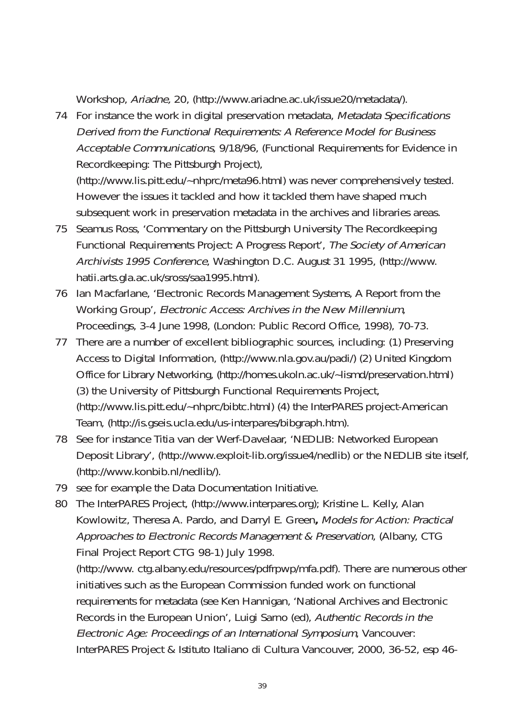Workshop, Ariadne, 20, (http://www.ariadne.ac.uk/issue20/metadata/).

74 For instance the work in digital preservation metadata, Metadata Specifications Derived from the Functional Requirements: A Reference Model for Business Acceptable Communications, 9/18/96, (Functional Requirements for Evidence in Recordkeeping: The Pittsburgh Project), (http://www.lis.pitt.edu/~nhprc/meta96.html) was never comprehensively tested.

However the issues it tackled and how it tackled them have shaped much subsequent work in preservation metadata in the archives and libraries areas.

- 75 Seamus Ross, 'Commentary on the Pittsburgh University The Recordkeeping Functional Requirements Project: A Progress Report', The Society of American Archivists 1995 Conference, Washington D.C. August 31 1995, (http://www. hatii.arts.gla.ac.uk/sross/saa1995.html).
- 76 Ian Macfarlane, 'Electronic Records Management Systems, A Report from the Working Group', Electronic Access: Archives in the New Millennium, Proceedings, 3-4 June 1998, (London: Public Record Office, 1998), 70-73.
- 77 There are a number of excellent bibliographic sources, including: (1) Preserving Access to Digital Information, (http://www.nla.gov.au/padi/) (2) United Kingdom Office for Library Networking, (http://homes.ukoln.ac.uk/~lismd/preservation.html) (3) the University of Pittsburgh Functional Requirements Project, (http://www.lis.pitt.edu/~nhprc/bibtc.html) (4) the InterPARES project-American Team, (http://is.gseis.ucla.edu/us-interpares/bibgraph.htm).
- 78 See for instance Titia van der Werf-Davelaar, 'NEDLIB: Networked European Deposit Library', (http://www.exploit-lib.org/issue4/nedlib) or the NEDLIB site itself, (http://www.konbib.nl/nedlib/).
- 79 see for example the Data Documentation Initiative.
- 80 The InterPARES Project, (http://www.interpares.org); Kristine L. Kelly, Alan Kowlowitz, Theresa A. Pardo, and Darryl E. Green**,** Models for Action: Practical Approaches to Electronic Records Management & Preservation, (Albany, CTG Final Project Report CTG 98-1) July 1998.

(http://www. ctg.albany.edu/resources/pdfrpwp/mfa.pdf). There are numerous other initiatives such as the European Commission funded work on functional requirements for metadata (see Ken Hannigan, 'National Archives and Electronic Records in the European Union', Luigi Sarno (ed), Authentic Records in the Electronic Age: Proceedings of an International Symposium, Vancouver: InterPARES Project & Istituto Italiano di Cultura Vancouver, 2000, 36-52, esp 46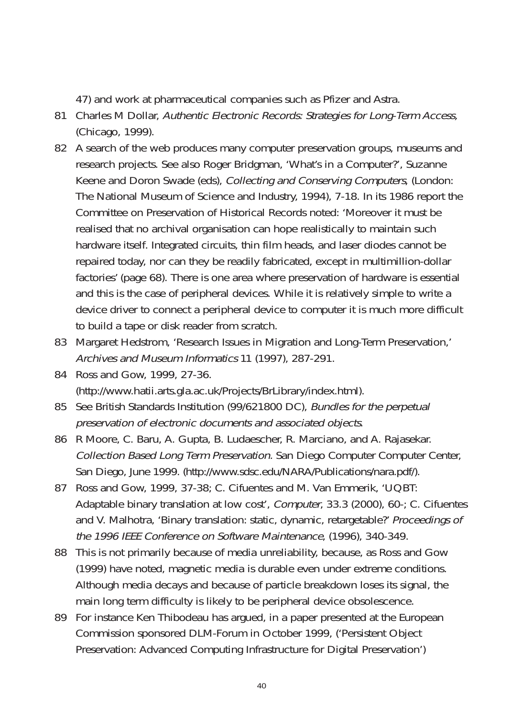47) and work at pharmaceutical companies such as Pfizer and Astra.

- 81 Charles M Dollar, Authentic Electronic Records: Strategies for Long-Term Access, (Chicago, 1999).
- 82 A search of the web produces many computer preservation groups, museums and research projects. See also Roger Bridgman, 'What's in a Computer?', Suzanne Keene and Doron Swade (eds), Collecting and Conserving Computers, (London: The National Museum of Science and Industry, 1994), 7-18. In its 1986 report the Committee on Preservation of Historical Records noted: 'Moreover it must be realised that no archival organisation can hope realistically to maintain such hardware itself. Integrated circuits, thin film heads, and laser diodes cannot be repaired today, nor can they be readily fabricated, except in multimillion-dollar factories' (page 68). There is one area where preservation of hardware is essential and this is the case of peripheral devices. While it is relatively simple to write a device driver to connect a peripheral device to computer it is much more difficult to build a tape or disk reader from scratch.
- 83 Margaret Hedstrom, 'Research Issues in Migration and Long-Term Preservation,' Archives and Museum Informatics 11 (1997), 287-291.
- 84 Ross and Gow, 1999, 27-36. (http://www.hatii.arts.gla.ac.uk/Projects/BrLibrary/index.html).
- 85 See British Standards Institution (99/621800 DC), Bundles for the perpetual preservation of electronic documents and associated objects.
- 86 R Moore, C. Baru, A. Gupta, B. Ludaescher, R. Marciano, and A. Rajasekar. Collection Based Long Term Preservation. San Diego Computer Computer Center, San Diego, June 1999. (http://www.sdsc.edu/NARA/Publications/nara.pdf/).
- 87 Ross and Gow, 1999, 37-38; C. Cifuentes and M. Van Emmerik, 'UQBT: Adaptable binary translation at low cost', Computer, 33.3 (2000), 60-; C. Cifuentes and V. Malhotra, 'Binary translation: static, dynamic, retargetable?' Proceedings of the 1996 IEEE Conference on Software Maintenance, (1996), 340-349.
- 88 This is not primarily because of media unreliability, because, as Ross and Gow (1999) have noted, magnetic media is durable even under extreme conditions. Although media decays and because of particle breakdown loses its signal, the main long term difficulty is likely to be peripheral device obsolescence.
- 89 For instance Ken Thibodeau has argued, in a paper presented at the European Commission sponsored DLM-Forum in October 1999, ('Persistent Object Preservation: Advanced Computing Infrastructure for Digital Preservation')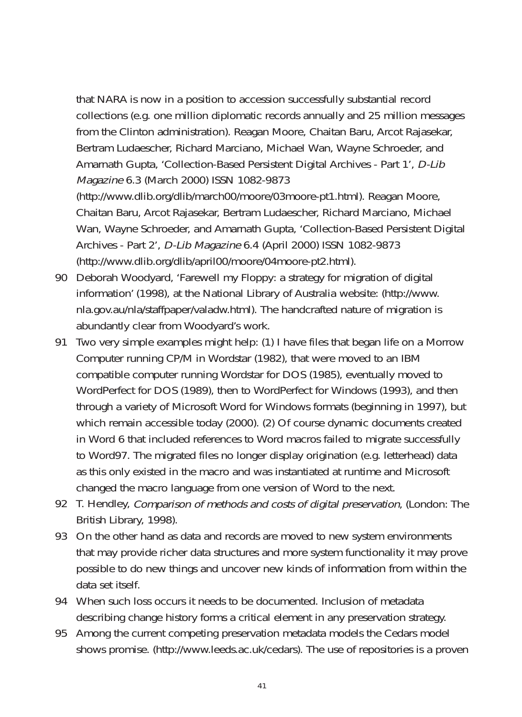that NARA is now in a position to accession successfully substantial record collections (e.g. one million diplomatic records annually and 25 million messages from the Clinton administration). Reagan Moore, Chaitan Baru, Arcot Rajasekar, Bertram Ludaescher, Richard Marciano, Michael Wan, Wayne Schroeder, and Amarnath Gupta, 'Collection-Based Persistent Digital Archives - Part 1', D-Lib Magazine 6.3 (March 2000) ISSN 1082-9873 (http://www.dlib.org/dlib/march00/moore/03moore-pt1.html). Reagan Moore, Chaitan Baru, Arcot Rajasekar, Bertram Ludaescher, Richard Marciano, Michael Wan, Wayne Schroeder, and Amarnath Gupta, 'Collection-Based Persistent Digital Archives - Part 2', D-Lib Magazine 6.4 (April 2000) ISSN 1082-9873 (http://www.dlib.org/dlib/april00/moore/04moore-pt2.html).

- 90 Deborah Woodyard, 'Farewell my Floppy: a strategy for migration of digital information' (1998), at the National Library of Australia website: (http://www. nla.gov.au/nla/staffpaper/valadw.html). The handcrafted nature of migration is abundantly clear from Woodyard's work.
- 91 Two very simple examples might help: (1) I have files that began life on a Morrow Computer running CP/M in Wordstar (1982), that were moved to an IBM compatible computer running Wordstar for DOS (1985), eventually moved to WordPerfect for DOS (1989), then to WordPerfect for Windows (1993), and then through a variety of Microsoft Word for Windows formats (beginning in 1997), but which remain accessible today (2000). (2) Of course dynamic documents created in Word 6 that included references to Word macros failed to migrate successfully to Word97. The migrated files no longer display origination (e.g. letterhead) data as this only existed in the macro and was instantiated at runtime and Microsoft changed the macro language from one version of Word to the next.
- 92 T. Hendley, Comparison of methods and costs of digital preservation, (London: The British Library, 1998).
- 93 On the other hand as data and records are moved to new system environments that may provide richer data structures and more system functionality it may prove possible to do new things and uncover new kinds of information from within the data set itself.
- 94 When such loss occurs it needs to be documented. Inclusion of metadata describing change history forms a critical element in any preservation strategy.
- 95 Among the current competing preservation metadata models the Cedars model shows promise. (http://www.leeds.ac.uk/cedars). The use of repositories is a proven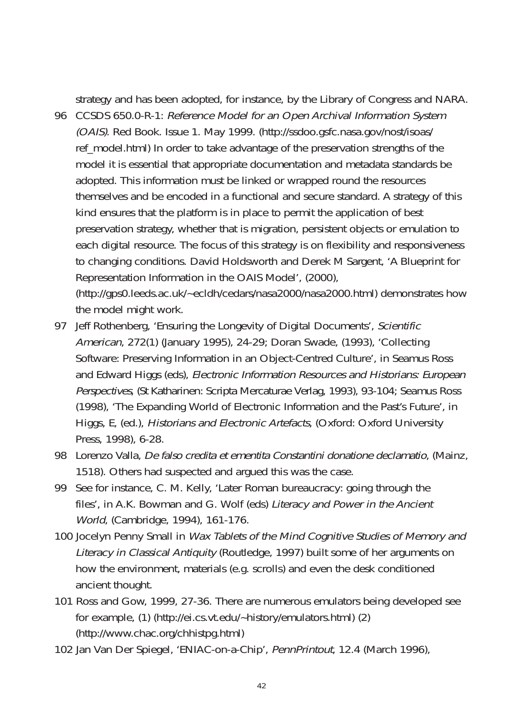strategy and has been adopted, for instance, by the Library of Congress and NARA.

- 96 CCSDS 650.0-R-1: Reference Model for an Open Archival Information System (OAIS). Red Book. Issue 1. May 1999. (http://ssdoo.gsfc.nasa.gov/nost/isoas/ ref\_model.html) In order to take advantage of the preservation strengths of the model it is essential that appropriate documentation and metadata standards be adopted. This information must be linked or wrapped round the resources themselves and be encoded in a functional and secure standard. A strategy of this kind ensures that the platform is in place to permit the application of best preservation strategy, whether that is migration, persistent objects or emulation to each digital resource. The focus of this strategy is on flexibility and responsiveness to changing conditions. David Holdsworth and Derek M Sargent, 'A Blueprint for Representation Information in the OAIS Model', (2000), (http://gps0.leeds.ac.uk/~ecldh/cedars/nasa2000/nasa2000.html) demonstrates how the model might work.
- 97 Jeff Rothenberg, 'Ensuring the Longevity of Digital Documents', Scientific American, 272(1) (January 1995), 24-29; Doran Swade, (1993), 'Collecting Software: Preserving Information in an Object-Centred Culture', in Seamus Ross and Edward Higgs (eds), Electronic Information Resources and Historians: European Perspectives, (St Katharinen: Scripta Mercaturae Verlag, 1993), 93-104; Seamus Ross (1998), 'The Expanding World of Electronic Information and the Past's Future', in Higgs, E, (ed.), Historians and Electronic Artefacts, (Oxford: Oxford University Press, 1998), 6-28.
- 98 Lorenzo Valla, De falso credita et ementita Constantini donatione declamatio, (Mainz, 1518). Others had suspected and argued this was the case.
- 99 See for instance, C. M. Kelly, 'Later Roman bureaucracy: going through the files', in A.K. Bowman and G. Wolf (eds) Literacy and Power in the Ancient World, (Cambridge, 1994), 161-176.
- 100 Jocelyn Penny Small in Wax Tablets of the Mind Cognitive Studies of Memory and Literacy in Classical Antiquity (Routledge, 1997) built some of her arguments on how the environment, materials (e.g. scrolls) and even the desk conditioned ancient thought.
- 101 Ross and Gow, 1999, 27-36. There are numerous emulators being developed see for example, (1) (http://ei.cs.vt.edu/~history/emulators.html) (2) (http://www.chac.org/chhistpg.html)
- 102 Jan Van Der Spiegel, 'ENIAC-on-a-Chip', PennPrintout, 12.4 (March 1996),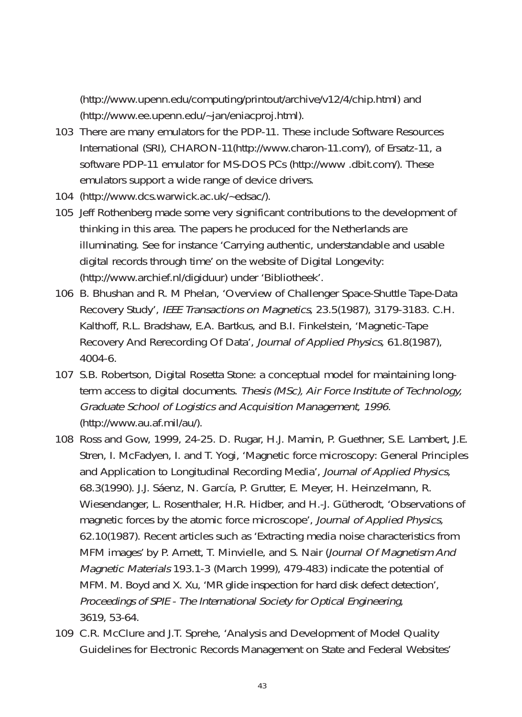(http://www.upenn.edu/computing/printout/archive/v12/4/chip.html) and (http://www.ee.upenn.edu/~jan/eniacproj.html).

- 103 There are many emulators for the PDP-11. These include Software Resources International (SRI), CHARON-11(http://www.charon-11.com/), of Ersatz-11, a software PDP-11 emulator for MS-DOS PCs (http://www .dbit.com/). These emulators support a wide range of device drivers.
- 104 (http://www.dcs.warwick.ac.uk/~edsac/).
- 105 Jeff Rothenberg made some very significant contributions to the development of thinking in this area. The papers he produced for the Netherlands are illuminating. See for instance 'Carrying authentic, understandable and usable digital records through time' on the website of Digital Longevity: (http://www.archief.nl/digiduur) under 'Bibliotheek'.
- 106 B. Bhushan and R. M Phelan, 'Overview of Challenger Space-Shuttle Tape-Data Recovery Study', IEEE Transactions on Magnetics, 23.5(1987), 3179-3183. C.H. Kalthoff, R.L. Bradshaw, E.A. Bartkus, and B.I. Finkelstein, 'Magnetic-Tape Recovery And Rerecording Of Data', Journal of Applied Physics, 61.8(1987), 4004-6.
- 107 S.B. Robertson, Digital Rosetta Stone: a conceptual model for maintaining longterm access to digital documents. Thesis (MSc), Air Force Institute of Technology, Graduate School of Logistics and Acquisition Management, 1996. (http://www.au.af.mil/au/).
- 108 Ross and Gow, 1999, 24-25. D. Rugar, H.J. Mamin, P. Guethner, S.E. Lambert, J.E. Stren, I. McFadyen, I. and T. Yogi, 'Magnetic force microscopy: General Principles and Application to Longitudinal Recording Media', Journal of Applied Physics, 68.3(1990). J.J. Sáenz, N. García, P. Grutter, E. Meyer, H. Heinzelmann, R. Wiesendanger, L. Rosenthaler, H.R. Hidber, and H.-J. Gütherodt, 'Observations of magnetic forces by the atomic force microscope', Journal of Applied Physics, 62.10(1987). Recent articles such as 'Extracting media noise characteristics from MFM images' by P. Arnett, T. Minvielle, and S. Nair (Journal Of Magnetism And Magnetic Materials 193.1-3 (March 1999), 479-483) indicate the potential of MFM. M. Boyd and X. Xu, 'MR glide inspection for hard disk defect detection', Proceedings of SPIE - The International Society for Optical Engineering, 3619, 53-64.
- 109 C.R. McClure and J.T. Sprehe, 'Analysis and Development of Model Quality Guidelines for Electronic Records Management on State and Federal Websites'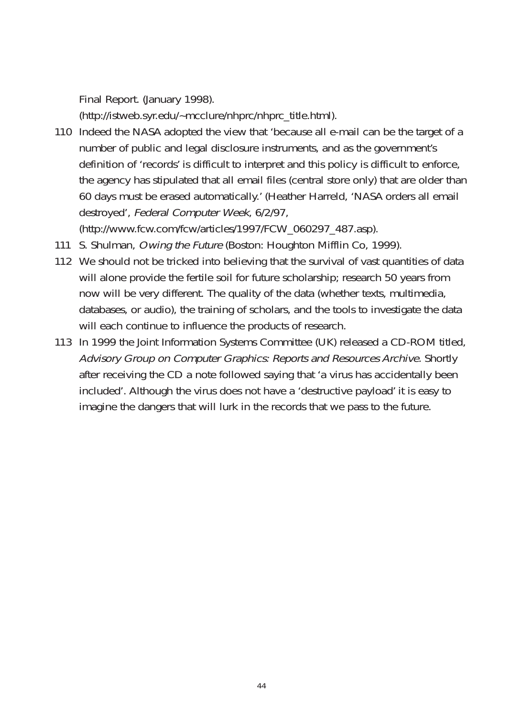Final Report. (January 1998).

(http://istweb.syr.edu/~mcclure/nhprc/nhprc\_title.html).

110 Indeed the NASA adopted the view that 'because all e-mail can be the target of a number of public and legal disclosure instruments, and as the government's definition of 'records' is difficult to interpret and this policy is difficult to enforce, the agency has stipulated that all email files (central store only) that are older than 60 days must be erased automatically.' (Heather Harreld, 'NASA orders all email destroyed', Federal Computer Week, 6/2/97,

(http://www.fcw.com/fcw/articles/1997/FCW\_060297\_487.asp).

- 111 S. Shulman, Owing the Future (Boston: Houghton Mifflin Co, 1999).
- 112 We should not be tricked into believing that the survival of vast quantities of data will alone provide the fertile soil for future scholarship; research 50 years from now will be very different. The quality of the data (whether texts, multimedia, databases, or audio), the training of scholars, and the tools to investigate the data will each continue to influence the products of research.
- 113 In 1999 the Joint Information Systems Committee (UK) released a CD-ROM titled, Advisory Group on Computer Graphics: Reports and Resources Archive. Shortly after receiving the CD a note followed saying that 'a virus has accidentally been included'. Although the virus does not have a 'destructive payload' it is easy to imagine the dangers that will lurk in the records that we pass to the future.